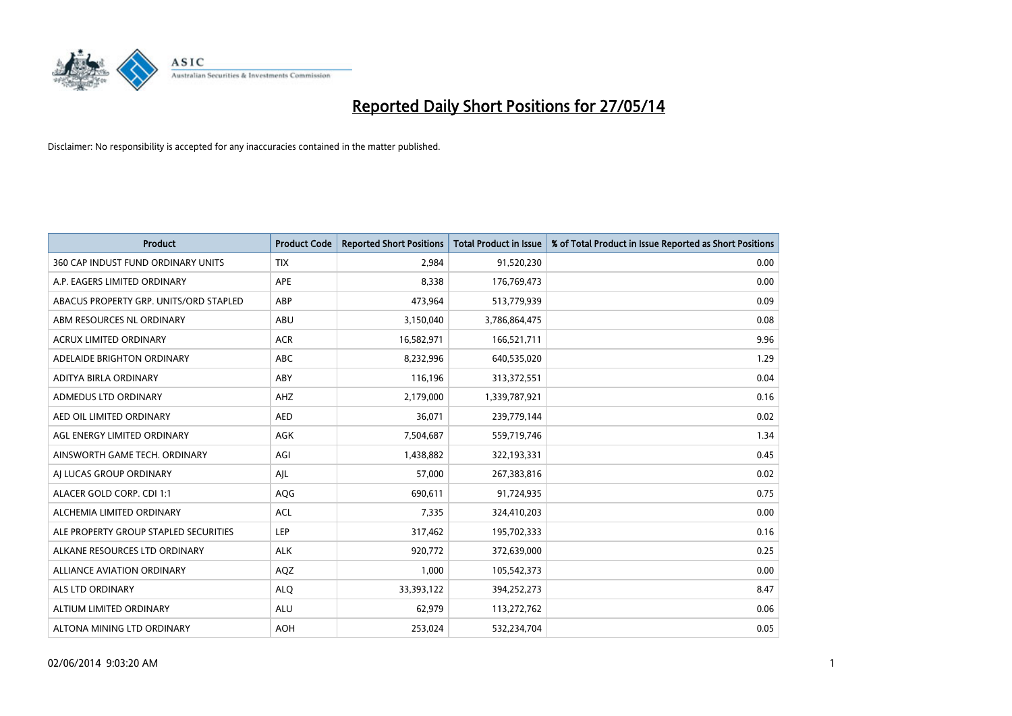

| <b>Product</b>                         | <b>Product Code</b> | <b>Reported Short Positions</b> | <b>Total Product in Issue</b> | % of Total Product in Issue Reported as Short Positions |
|----------------------------------------|---------------------|---------------------------------|-------------------------------|---------------------------------------------------------|
| 360 CAP INDUST FUND ORDINARY UNITS     | <b>TIX</b>          | 2,984                           | 91,520,230                    | 0.00                                                    |
| A.P. EAGERS LIMITED ORDINARY           | APE                 | 8,338                           | 176,769,473                   | 0.00                                                    |
| ABACUS PROPERTY GRP. UNITS/ORD STAPLED | ABP                 | 473,964                         | 513,779,939                   | 0.09                                                    |
| ABM RESOURCES NL ORDINARY              | ABU                 | 3,150,040                       | 3,786,864,475                 | 0.08                                                    |
| <b>ACRUX LIMITED ORDINARY</b>          | <b>ACR</b>          | 16,582,971                      | 166,521,711                   | 9.96                                                    |
| ADELAIDE BRIGHTON ORDINARY             | <b>ABC</b>          | 8,232,996                       | 640,535,020                   | 1.29                                                    |
| ADITYA BIRLA ORDINARY                  | ABY                 | 116,196                         | 313,372,551                   | 0.04                                                    |
| ADMEDUS LTD ORDINARY                   | AHZ                 | 2,179,000                       | 1,339,787,921                 | 0.16                                                    |
| AED OIL LIMITED ORDINARY               | <b>AED</b>          | 36,071                          | 239,779,144                   | 0.02                                                    |
| AGL ENERGY LIMITED ORDINARY            | AGK                 | 7,504,687                       | 559,719,746                   | 1.34                                                    |
| AINSWORTH GAME TECH. ORDINARY          | AGI                 | 1,438,882                       | 322,193,331                   | 0.45                                                    |
| AI LUCAS GROUP ORDINARY                | AJL                 | 57,000                          | 267,383,816                   | 0.02                                                    |
| ALACER GOLD CORP. CDI 1:1              | AQG                 | 690,611                         | 91,724,935                    | 0.75                                                    |
| ALCHEMIA LIMITED ORDINARY              | <b>ACL</b>          | 7,335                           | 324,410,203                   | 0.00                                                    |
| ALE PROPERTY GROUP STAPLED SECURITIES  | LEP                 | 317,462                         | 195,702,333                   | 0.16                                                    |
| ALKANE RESOURCES LTD ORDINARY          | <b>ALK</b>          | 920,772                         | 372,639,000                   | 0.25                                                    |
| ALLIANCE AVIATION ORDINARY             | AQZ                 | 1,000                           | 105,542,373                   | 0.00                                                    |
| <b>ALS LTD ORDINARY</b>                | <b>ALQ</b>          | 33,393,122                      | 394,252,273                   | 8.47                                                    |
| ALTIUM LIMITED ORDINARY                | <b>ALU</b>          | 62,979                          | 113,272,762                   | 0.06                                                    |
| ALTONA MINING LTD ORDINARY             | <b>AOH</b>          | 253,024                         | 532,234,704                   | 0.05                                                    |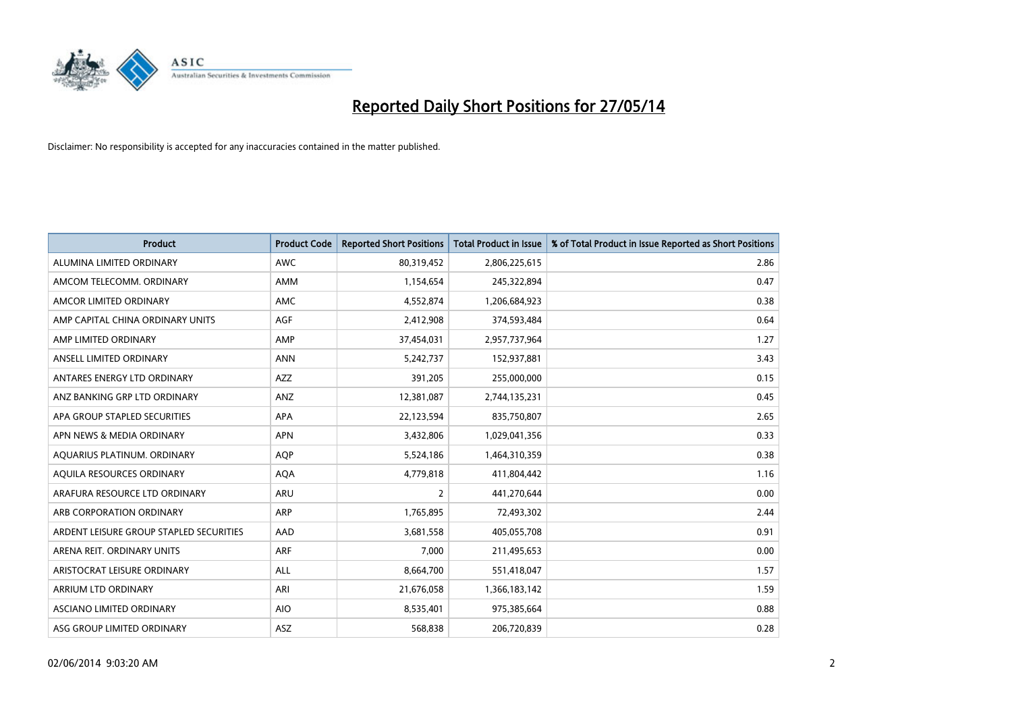

| <b>Product</b>                          | <b>Product Code</b> | <b>Reported Short Positions</b> | <b>Total Product in Issue</b> | % of Total Product in Issue Reported as Short Positions |
|-----------------------------------------|---------------------|---------------------------------|-------------------------------|---------------------------------------------------------|
| ALUMINA LIMITED ORDINARY                | <b>AWC</b>          | 80,319,452                      | 2,806,225,615                 | 2.86                                                    |
| AMCOM TELECOMM. ORDINARY                | AMM                 | 1,154,654                       | 245,322,894                   | 0.47                                                    |
| AMCOR LIMITED ORDINARY                  | AMC                 | 4,552,874                       | 1,206,684,923                 | 0.38                                                    |
| AMP CAPITAL CHINA ORDINARY UNITS        | AGF                 | 2,412,908                       | 374,593,484                   | 0.64                                                    |
| AMP LIMITED ORDINARY                    | AMP                 | 37,454,031                      | 2,957,737,964                 | 1.27                                                    |
| ANSELL LIMITED ORDINARY                 | <b>ANN</b>          | 5,242,737                       | 152,937,881                   | 3.43                                                    |
| ANTARES ENERGY LTD ORDINARY             | AZZ                 | 391,205                         | 255,000,000                   | 0.15                                                    |
| ANZ BANKING GRP LTD ORDINARY            | ANZ                 | 12,381,087                      | 2,744,135,231                 | 0.45                                                    |
| APA GROUP STAPLED SECURITIES            | APA                 | 22,123,594                      | 835,750,807                   | 2.65                                                    |
| APN NEWS & MEDIA ORDINARY               | <b>APN</b>          | 3,432,806                       | 1,029,041,356                 | 0.33                                                    |
| AQUARIUS PLATINUM. ORDINARY             | AQP                 | 5,524,186                       | 1,464,310,359                 | 0.38                                                    |
| AQUILA RESOURCES ORDINARY               | <b>AQA</b>          | 4,779,818                       | 411,804,442                   | 1.16                                                    |
| ARAFURA RESOURCE LTD ORDINARY           | <b>ARU</b>          | $\overline{2}$                  | 441,270,644                   | 0.00                                                    |
| ARB CORPORATION ORDINARY                | ARP                 | 1,765,895                       | 72,493,302                    | 2.44                                                    |
| ARDENT LEISURE GROUP STAPLED SECURITIES | AAD                 | 3,681,558                       | 405,055,708                   | 0.91                                                    |
| ARENA REIT. ORDINARY UNITS              | <b>ARF</b>          | 7,000                           | 211,495,653                   | 0.00                                                    |
| ARISTOCRAT LEISURE ORDINARY             | ALL                 | 8,664,700                       | 551,418,047                   | 1.57                                                    |
| ARRIUM LTD ORDINARY                     | ARI                 | 21,676,058                      | 1,366,183,142                 | 1.59                                                    |
| ASCIANO LIMITED ORDINARY                | <b>AIO</b>          | 8,535,401                       | 975,385,664                   | 0.88                                                    |
| ASG GROUP LIMITED ORDINARY              | ASZ                 | 568,838                         | 206,720,839                   | 0.28                                                    |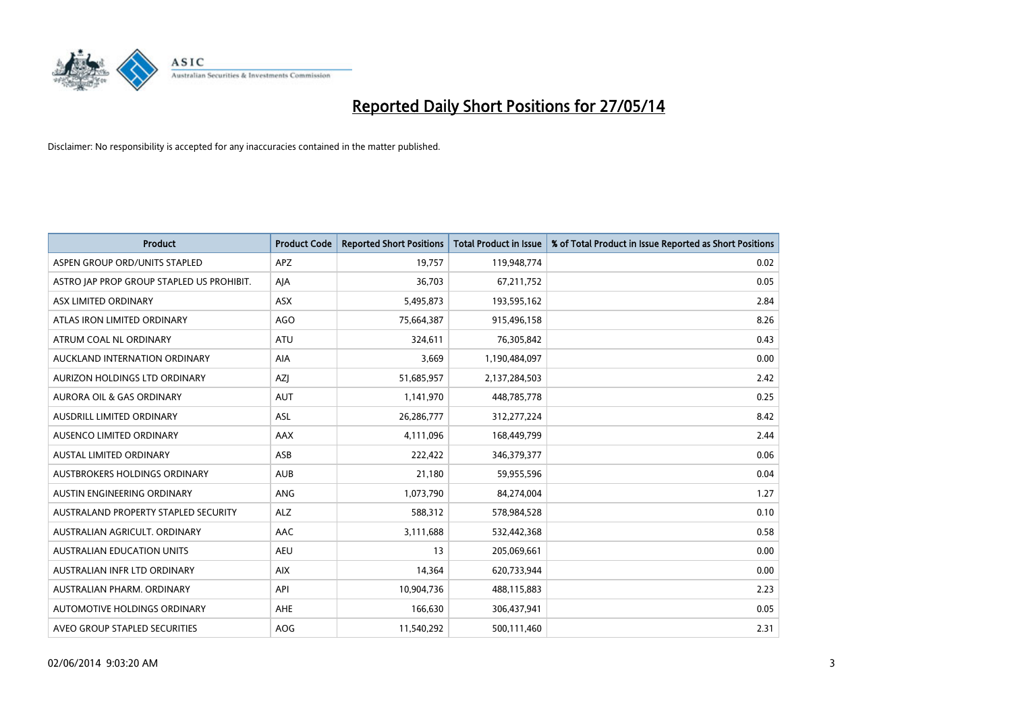

| <b>Product</b>                            | <b>Product Code</b> | <b>Reported Short Positions</b> | <b>Total Product in Issue</b> | % of Total Product in Issue Reported as Short Positions |
|-------------------------------------------|---------------------|---------------------------------|-------------------------------|---------------------------------------------------------|
| ASPEN GROUP ORD/UNITS STAPLED             | <b>APZ</b>          | 19,757                          | 119,948,774                   | 0.02                                                    |
| ASTRO JAP PROP GROUP STAPLED US PROHIBIT. | AJA                 | 36,703                          | 67,211,752                    | 0.05                                                    |
| ASX LIMITED ORDINARY                      | <b>ASX</b>          | 5,495,873                       | 193,595,162                   | 2.84                                                    |
| ATLAS IRON LIMITED ORDINARY               | AGO                 | 75,664,387                      | 915,496,158                   | 8.26                                                    |
| ATRUM COAL NL ORDINARY                    | ATU                 | 324,611                         | 76,305,842                    | 0.43                                                    |
| AUCKLAND INTERNATION ORDINARY             | <b>AIA</b>          | 3,669                           | 1,190,484,097                 | 0.00                                                    |
| AURIZON HOLDINGS LTD ORDINARY             | AZJ                 | 51,685,957                      | 2,137,284,503                 | 2.42                                                    |
| AURORA OIL & GAS ORDINARY                 | <b>AUT</b>          | 1,141,970                       | 448,785,778                   | 0.25                                                    |
| AUSDRILL LIMITED ORDINARY                 | <b>ASL</b>          | 26,286,777                      | 312,277,224                   | 8.42                                                    |
| AUSENCO LIMITED ORDINARY                  | AAX                 | 4,111,096                       | 168,449,799                   | 2.44                                                    |
| AUSTAL LIMITED ORDINARY                   | ASB                 | 222,422                         | 346,379,377                   | 0.06                                                    |
| AUSTBROKERS HOLDINGS ORDINARY             | <b>AUB</b>          | 21,180                          | 59,955,596                    | 0.04                                                    |
| AUSTIN ENGINEERING ORDINARY               | ANG                 | 1,073,790                       | 84,274,004                    | 1.27                                                    |
| AUSTRALAND PROPERTY STAPLED SECURITY      | <b>ALZ</b>          | 588,312                         | 578,984,528                   | 0.10                                                    |
| AUSTRALIAN AGRICULT, ORDINARY             | <b>AAC</b>          | 3,111,688                       | 532,442,368                   | 0.58                                                    |
| AUSTRALIAN EDUCATION UNITS                | <b>AEU</b>          | 13                              | 205,069,661                   | 0.00                                                    |
| AUSTRALIAN INFR LTD ORDINARY              | <b>AIX</b>          | 14,364                          | 620,733,944                   | 0.00                                                    |
| AUSTRALIAN PHARM. ORDINARY                | API                 | 10,904,736                      | 488,115,883                   | 2.23                                                    |
| AUTOMOTIVE HOLDINGS ORDINARY              | AHE                 | 166,630                         | 306,437,941                   | 0.05                                                    |
| AVEO GROUP STAPLED SECURITIES             | AOG                 | 11,540,292                      | 500,111,460                   | 2.31                                                    |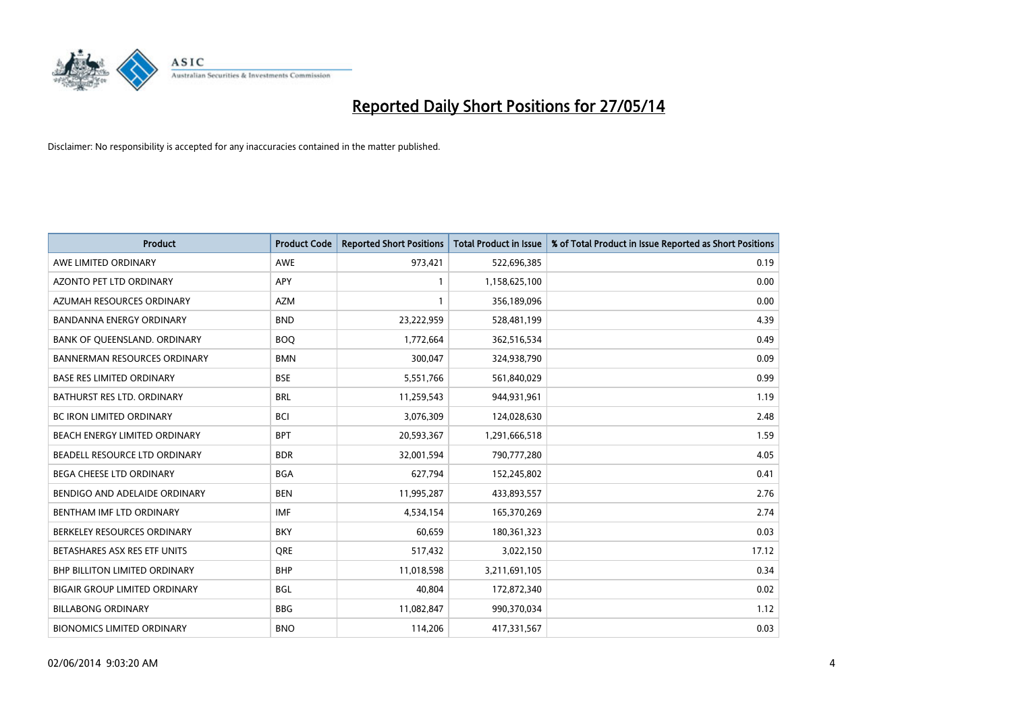

| <b>Product</b>                       | <b>Product Code</b> | <b>Reported Short Positions</b> | <b>Total Product in Issue</b> | % of Total Product in Issue Reported as Short Positions |
|--------------------------------------|---------------------|---------------------------------|-------------------------------|---------------------------------------------------------|
| AWE LIMITED ORDINARY                 | <b>AWE</b>          | 973,421                         | 522,696,385                   | 0.19                                                    |
| AZONTO PET LTD ORDINARY              | APY                 | 1                               | 1,158,625,100                 | 0.00                                                    |
| AZUMAH RESOURCES ORDINARY            | <b>AZM</b>          | 1                               | 356,189,096                   | 0.00                                                    |
| BANDANNA ENERGY ORDINARY             | <b>BND</b>          | 23,222,959                      | 528,481,199                   | 4.39                                                    |
| BANK OF QUEENSLAND. ORDINARY         | <b>BOQ</b>          | 1,772,664                       | 362,516,534                   | 0.49                                                    |
| <b>BANNERMAN RESOURCES ORDINARY</b>  | <b>BMN</b>          | 300,047                         | 324,938,790                   | 0.09                                                    |
| <b>BASE RES LIMITED ORDINARY</b>     | <b>BSE</b>          | 5,551,766                       | 561,840,029                   | 0.99                                                    |
| BATHURST RES LTD. ORDINARY           | <b>BRL</b>          | 11,259,543                      | 944,931,961                   | 1.19                                                    |
| BC IRON LIMITED ORDINARY             | <b>BCI</b>          | 3,076,309                       | 124,028,630                   | 2.48                                                    |
| BEACH ENERGY LIMITED ORDINARY        | <b>BPT</b>          | 20,593,367                      | 1,291,666,518                 | 1.59                                                    |
| BEADELL RESOURCE LTD ORDINARY        | <b>BDR</b>          | 32,001,594                      | 790,777,280                   | 4.05                                                    |
| BEGA CHEESE LTD ORDINARY             | <b>BGA</b>          | 627,794                         | 152,245,802                   | 0.41                                                    |
| BENDIGO AND ADELAIDE ORDINARY        | <b>BEN</b>          | 11,995,287                      | 433,893,557                   | 2.76                                                    |
| BENTHAM IMF LTD ORDINARY             | IMF                 | 4,534,154                       | 165,370,269                   | 2.74                                                    |
| BERKELEY RESOURCES ORDINARY          | <b>BKY</b>          | 60,659                          | 180,361,323                   | 0.03                                                    |
| BETASHARES ASX RES ETF UNITS         | <b>ORE</b>          | 517,432                         | 3,022,150                     | 17.12                                                   |
| BHP BILLITON LIMITED ORDINARY        | <b>BHP</b>          | 11,018,598                      | 3,211,691,105                 | 0.34                                                    |
| <b>BIGAIR GROUP LIMITED ORDINARY</b> | <b>BGL</b>          | 40,804                          | 172,872,340                   | 0.02                                                    |
| <b>BILLABONG ORDINARY</b>            | <b>BBG</b>          | 11,082,847                      | 990,370,034                   | 1.12                                                    |
| <b>BIONOMICS LIMITED ORDINARY</b>    | <b>BNO</b>          | 114,206                         | 417,331,567                   | 0.03                                                    |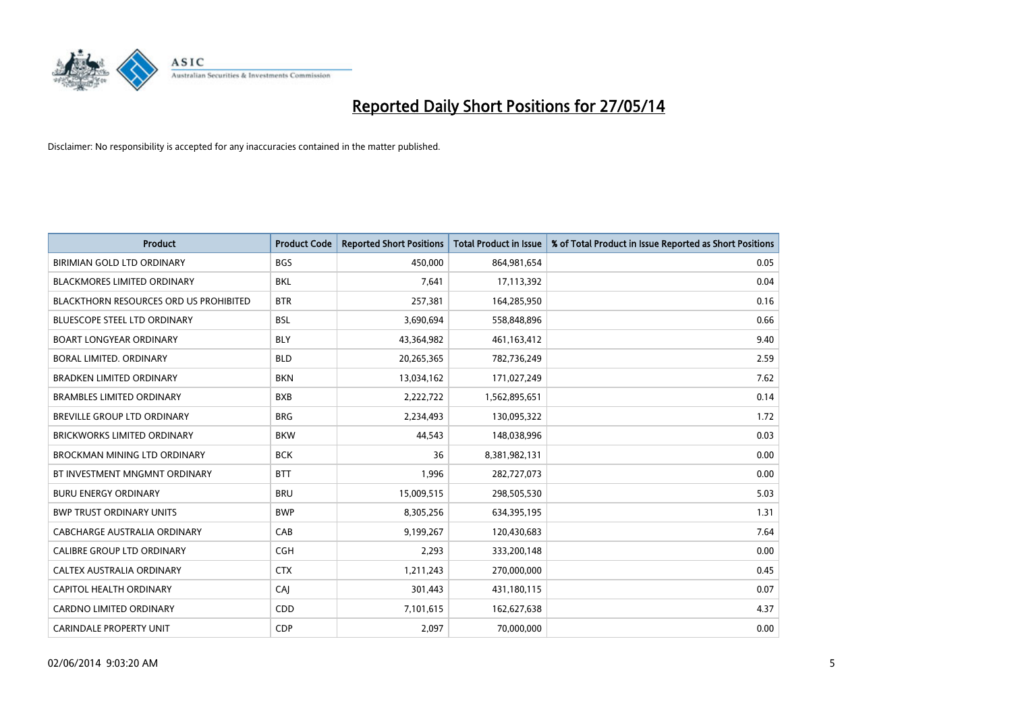

| <b>Product</b>                                | <b>Product Code</b> | <b>Reported Short Positions</b> | <b>Total Product in Issue</b> | % of Total Product in Issue Reported as Short Positions |
|-----------------------------------------------|---------------------|---------------------------------|-------------------------------|---------------------------------------------------------|
| BIRIMIAN GOLD LTD ORDINARY                    | <b>BGS</b>          | 450,000                         | 864,981,654                   | 0.05                                                    |
| <b>BLACKMORES LIMITED ORDINARY</b>            | <b>BKL</b>          | 7,641                           | 17,113,392                    | 0.04                                                    |
| <b>BLACKTHORN RESOURCES ORD US PROHIBITED</b> | <b>BTR</b>          | 257,381                         | 164,285,950                   | 0.16                                                    |
| BLUESCOPE STEEL LTD ORDINARY                  | <b>BSL</b>          | 3,690,694                       | 558,848,896                   | 0.66                                                    |
| <b>BOART LONGYEAR ORDINARY</b>                | <b>BLY</b>          | 43,364,982                      | 461,163,412                   | 9.40                                                    |
| <b>BORAL LIMITED, ORDINARY</b>                | <b>BLD</b>          | 20,265,365                      | 782,736,249                   | 2.59                                                    |
| <b>BRADKEN LIMITED ORDINARY</b>               | <b>BKN</b>          | 13,034,162                      | 171,027,249                   | 7.62                                                    |
| <b>BRAMBLES LIMITED ORDINARY</b>              | <b>BXB</b>          | 2,222,722                       | 1,562,895,651                 | 0.14                                                    |
| <b>BREVILLE GROUP LTD ORDINARY</b>            | <b>BRG</b>          | 2,234,493                       | 130,095,322                   | 1.72                                                    |
| <b>BRICKWORKS LIMITED ORDINARY</b>            | <b>BKW</b>          | 44.543                          | 148,038,996                   | 0.03                                                    |
| BROCKMAN MINING LTD ORDINARY                  | <b>BCK</b>          | 36                              | 8,381,982,131                 | 0.00                                                    |
| BT INVESTMENT MNGMNT ORDINARY                 | <b>BTT</b>          | 1,996                           | 282,727,073                   | 0.00                                                    |
| <b>BURU ENERGY ORDINARY</b>                   | <b>BRU</b>          | 15,009,515                      | 298,505,530                   | 5.03                                                    |
| <b>BWP TRUST ORDINARY UNITS</b>               | <b>BWP</b>          | 8,305,256                       | 634,395,195                   | 1.31                                                    |
| CABCHARGE AUSTRALIA ORDINARY                  | CAB                 | 9,199,267                       | 120,430,683                   | 7.64                                                    |
| CALIBRE GROUP LTD ORDINARY                    | <b>CGH</b>          | 2,293                           | 333,200,148                   | 0.00                                                    |
| CALTEX AUSTRALIA ORDINARY                     | <b>CTX</b>          | 1,211,243                       | 270,000,000                   | 0.45                                                    |
| CAPITOL HEALTH ORDINARY                       | CAJ                 | 301,443                         | 431,180,115                   | 0.07                                                    |
| <b>CARDNO LIMITED ORDINARY</b>                | CDD                 | 7,101,615                       | 162,627,638                   | 4.37                                                    |
| <b>CARINDALE PROPERTY UNIT</b>                | <b>CDP</b>          | 2,097                           | 70,000,000                    | 0.00                                                    |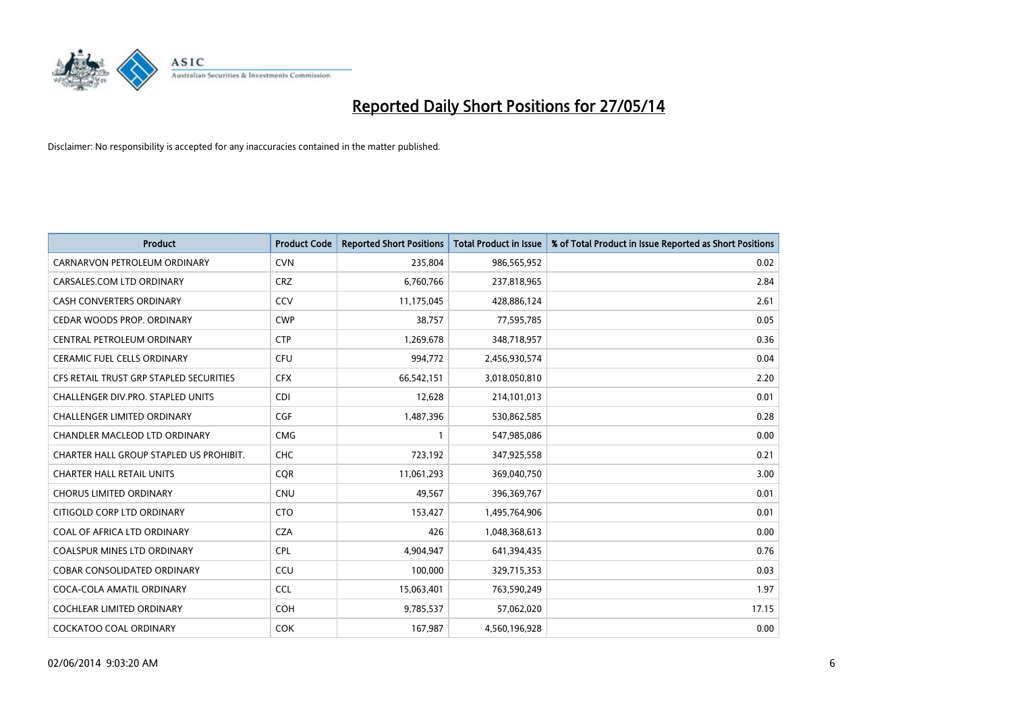

| Product                                 | <b>Product Code</b> | <b>Reported Short Positions</b> | <b>Total Product in Issue</b> | % of Total Product in Issue Reported as Short Positions |
|-----------------------------------------|---------------------|---------------------------------|-------------------------------|---------------------------------------------------------|
| CARNARVON PETROLEUM ORDINARY            | <b>CVN</b>          | 235,804                         | 986,565,952                   | 0.02                                                    |
| CARSALES.COM LTD ORDINARY               | <b>CRZ</b>          | 6,760,766                       | 237,818,965                   | 2.84                                                    |
| <b>CASH CONVERTERS ORDINARY</b>         | CCV                 | 11,175,045                      | 428,886,124                   | 2.61                                                    |
| CEDAR WOODS PROP. ORDINARY              | <b>CWP</b>          | 38,757                          | 77,595,785                    | 0.05                                                    |
| CENTRAL PETROLEUM ORDINARY              | <b>CTP</b>          | 1,269,678                       | 348,718,957                   | 0.36                                                    |
| CERAMIC FUEL CELLS ORDINARY             | <b>CFU</b>          | 994,772                         | 2,456,930,574                 | 0.04                                                    |
| CFS RETAIL TRUST GRP STAPLED SECURITIES | <b>CFX</b>          | 66,542,151                      | 3,018,050,810                 | 2.20                                                    |
| CHALLENGER DIV.PRO. STAPLED UNITS       | <b>CDI</b>          | 12,628                          | 214,101,013                   | 0.01                                                    |
| <b>CHALLENGER LIMITED ORDINARY</b>      | <b>CGF</b>          | 1,487,396                       | 530,862,585                   | 0.28                                                    |
| CHANDLER MACLEOD LTD ORDINARY           | <b>CMG</b>          | $\mathbf{1}$                    | 547,985,086                   | 0.00                                                    |
| CHARTER HALL GROUP STAPLED US PROHIBIT. | <b>CHC</b>          | 723,192                         | 347,925,558                   | 0.21                                                    |
| <b>CHARTER HALL RETAIL UNITS</b>        | <b>CQR</b>          | 11,061,293                      | 369,040,750                   | 3.00                                                    |
| <b>CHORUS LIMITED ORDINARY</b>          | <b>CNU</b>          | 49,567                          | 396,369,767                   | 0.01                                                    |
| CITIGOLD CORP LTD ORDINARY              | <b>CTO</b>          | 153,427                         | 1,495,764,906                 | 0.01                                                    |
| COAL OF AFRICA LTD ORDINARY             | <b>CZA</b>          | 426                             | 1,048,368,613                 | 0.00                                                    |
| <b>COALSPUR MINES LTD ORDINARY</b>      | <b>CPL</b>          | 4,904,947                       | 641,394,435                   | 0.76                                                    |
| COBAR CONSOLIDATED ORDINARY             | CCU                 | 100,000                         | 329,715,353                   | 0.03                                                    |
| COCA-COLA AMATIL ORDINARY               | <b>CCL</b>          | 15,063,401                      | 763,590,249                   | 1.97                                                    |
| <b>COCHLEAR LIMITED ORDINARY</b>        | <b>COH</b>          | 9,785,537                       | 57,062,020                    | 17.15                                                   |
| <b>COCKATOO COAL ORDINARY</b>           | <b>COK</b>          | 167,987                         | 4,560,196,928                 | 0.00                                                    |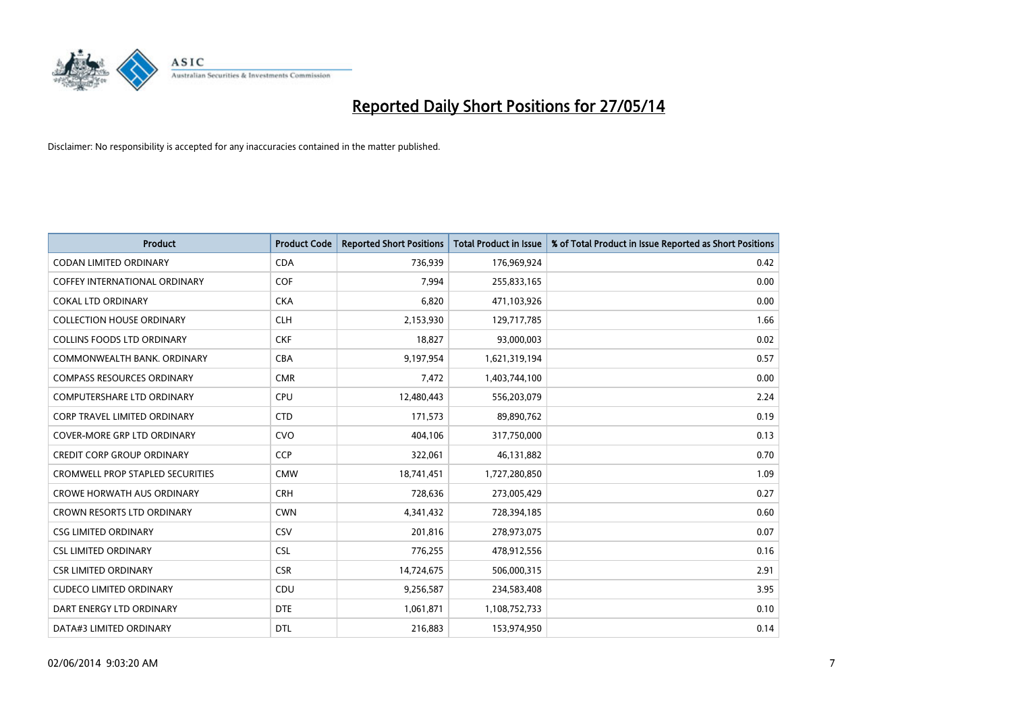

| <b>Product</b>                          | <b>Product Code</b> | <b>Reported Short Positions</b> | <b>Total Product in Issue</b> | % of Total Product in Issue Reported as Short Positions |
|-----------------------------------------|---------------------|---------------------------------|-------------------------------|---------------------------------------------------------|
| <b>CODAN LIMITED ORDINARY</b>           | <b>CDA</b>          | 736,939                         | 176,969,924                   | 0.42                                                    |
| <b>COFFEY INTERNATIONAL ORDINARY</b>    | <b>COF</b>          | 7,994                           | 255,833,165                   | 0.00                                                    |
| <b>COKAL LTD ORDINARY</b>               | <b>CKA</b>          | 6,820                           | 471,103,926                   | 0.00                                                    |
| <b>COLLECTION HOUSE ORDINARY</b>        | <b>CLH</b>          | 2,153,930                       | 129,717,785                   | 1.66                                                    |
| <b>COLLINS FOODS LTD ORDINARY</b>       | <b>CKF</b>          | 18,827                          | 93,000,003                    | 0.02                                                    |
| COMMONWEALTH BANK, ORDINARY             | <b>CBA</b>          | 9,197,954                       | 1,621,319,194                 | 0.57                                                    |
| <b>COMPASS RESOURCES ORDINARY</b>       | <b>CMR</b>          | 7,472                           | 1,403,744,100                 | 0.00                                                    |
| <b>COMPUTERSHARE LTD ORDINARY</b>       | <b>CPU</b>          | 12,480,443                      | 556,203,079                   | 2.24                                                    |
| <b>CORP TRAVEL LIMITED ORDINARY</b>     | <b>CTD</b>          | 171,573                         | 89,890,762                    | 0.19                                                    |
| COVER-MORE GRP LTD ORDINARY             | <b>CVO</b>          | 404,106                         | 317,750,000                   | 0.13                                                    |
| <b>CREDIT CORP GROUP ORDINARY</b>       | <b>CCP</b>          | 322,061                         | 46,131,882                    | 0.70                                                    |
| <b>CROMWELL PROP STAPLED SECURITIES</b> | <b>CMW</b>          | 18,741,451                      | 1,727,280,850                 | 1.09                                                    |
| <b>CROWE HORWATH AUS ORDINARY</b>       | <b>CRH</b>          | 728,636                         | 273,005,429                   | 0.27                                                    |
| <b>CROWN RESORTS LTD ORDINARY</b>       | <b>CWN</b>          | 4,341,432                       | 728,394,185                   | 0.60                                                    |
| <b>CSG LIMITED ORDINARY</b>             | CSV                 | 201,816                         | 278,973,075                   | 0.07                                                    |
| <b>CSL LIMITED ORDINARY</b>             | <b>CSL</b>          | 776,255                         | 478,912,556                   | 0.16                                                    |
| <b>CSR LIMITED ORDINARY</b>             | <b>CSR</b>          | 14,724,675                      | 506,000,315                   | 2.91                                                    |
| <b>CUDECO LIMITED ORDINARY</b>          | CDU                 | 9,256,587                       | 234,583,408                   | 3.95                                                    |
| DART ENERGY LTD ORDINARY                | <b>DTE</b>          | 1,061,871                       | 1,108,752,733                 | 0.10                                                    |
| DATA#3 LIMITED ORDINARY                 | <b>DTL</b>          | 216,883                         | 153,974,950                   | 0.14                                                    |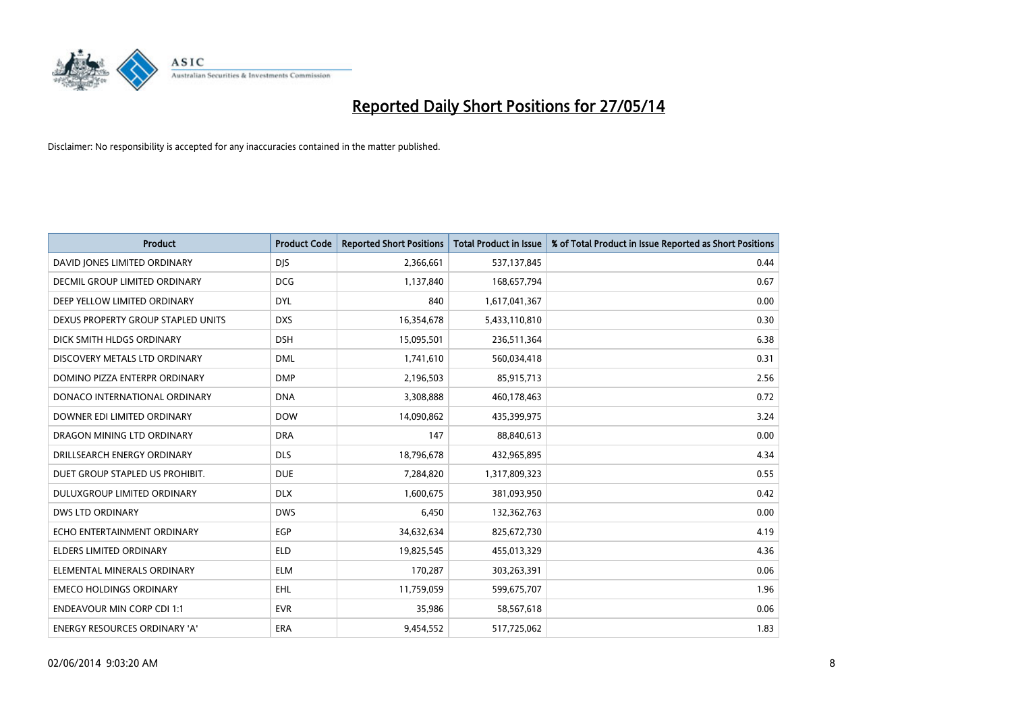

| <b>Product</b>                       | <b>Product Code</b> | <b>Reported Short Positions</b> | <b>Total Product in Issue</b> | % of Total Product in Issue Reported as Short Positions |
|--------------------------------------|---------------------|---------------------------------|-------------------------------|---------------------------------------------------------|
| DAVID JONES LIMITED ORDINARY         | <b>DJS</b>          | 2,366,661                       | 537,137,845                   | 0.44                                                    |
| DECMIL GROUP LIMITED ORDINARY        | <b>DCG</b>          | 1,137,840                       | 168,657,794                   | 0.67                                                    |
| DEEP YELLOW LIMITED ORDINARY         | <b>DYL</b>          | 840                             | 1,617,041,367                 | 0.00                                                    |
| DEXUS PROPERTY GROUP STAPLED UNITS   | <b>DXS</b>          | 16,354,678                      | 5,433,110,810                 | 0.30                                                    |
| DICK SMITH HLDGS ORDINARY            | <b>DSH</b>          | 15,095,501                      | 236,511,364                   | 6.38                                                    |
| DISCOVERY METALS LTD ORDINARY        | <b>DML</b>          | 1,741,610                       | 560,034,418                   | 0.31                                                    |
| DOMINO PIZZA ENTERPR ORDINARY        | <b>DMP</b>          | 2,196,503                       | 85,915,713                    | 2.56                                                    |
| DONACO INTERNATIONAL ORDINARY        | <b>DNA</b>          | 3,308,888                       | 460,178,463                   | 0.72                                                    |
| DOWNER EDI LIMITED ORDINARY          | <b>DOW</b>          | 14,090,862                      | 435,399,975                   | 3.24                                                    |
| DRAGON MINING LTD ORDINARY           | <b>DRA</b>          | 147                             | 88,840,613                    | 0.00                                                    |
| DRILLSEARCH ENERGY ORDINARY          | <b>DLS</b>          | 18,796,678                      | 432,965,895                   | 4.34                                                    |
| DUET GROUP STAPLED US PROHIBIT.      | <b>DUE</b>          | 7,284,820                       | 1,317,809,323                 | 0.55                                                    |
| DULUXGROUP LIMITED ORDINARY          | <b>DLX</b>          | 1,600,675                       | 381,093,950                   | 0.42                                                    |
| <b>DWS LTD ORDINARY</b>              | <b>DWS</b>          | 6,450                           | 132,362,763                   | 0.00                                                    |
| ECHO ENTERTAINMENT ORDINARY          | EGP                 | 34,632,634                      | 825,672,730                   | 4.19                                                    |
| ELDERS LIMITED ORDINARY              | <b>ELD</b>          | 19,825,545                      | 455,013,329                   | 4.36                                                    |
| ELEMENTAL MINERALS ORDINARY          | <b>ELM</b>          | 170,287                         | 303,263,391                   | 0.06                                                    |
| <b>EMECO HOLDINGS ORDINARY</b>       | <b>EHL</b>          | 11,759,059                      | 599,675,707                   | 1.96                                                    |
| <b>ENDEAVOUR MIN CORP CDI 1:1</b>    | <b>EVR</b>          | 35,986                          | 58,567,618                    | 0.06                                                    |
| <b>ENERGY RESOURCES ORDINARY 'A'</b> | <b>ERA</b>          | 9,454,552                       | 517,725,062                   | 1.83                                                    |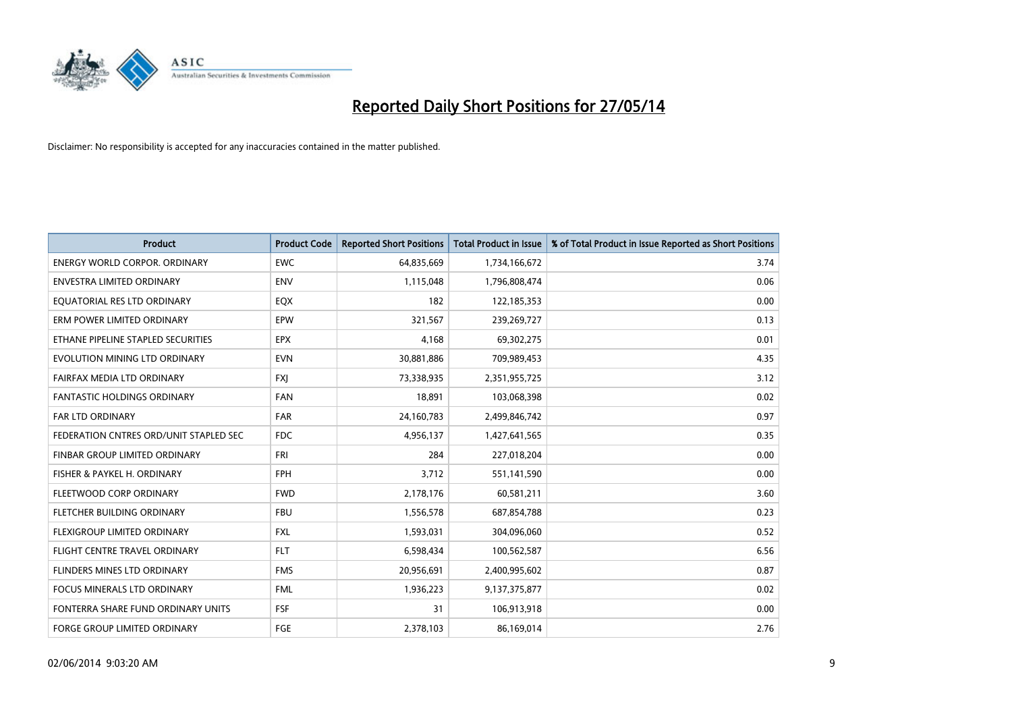

| <b>Product</b>                         | <b>Product Code</b> | <b>Reported Short Positions</b> | <b>Total Product in Issue</b> | % of Total Product in Issue Reported as Short Positions |
|----------------------------------------|---------------------|---------------------------------|-------------------------------|---------------------------------------------------------|
| <b>ENERGY WORLD CORPOR, ORDINARY</b>   | <b>EWC</b>          | 64,835,669                      | 1,734,166,672                 | 3.74                                                    |
| ENVESTRA LIMITED ORDINARY              | ENV                 | 1,115,048                       | 1,796,808,474                 | 0.06                                                    |
| EQUATORIAL RES LTD ORDINARY            | EQX                 | 182                             | 122,185,353                   | 0.00                                                    |
| ERM POWER LIMITED ORDINARY             | EPW                 | 321,567                         | 239,269,727                   | 0.13                                                    |
| ETHANE PIPELINE STAPLED SECURITIES     | <b>EPX</b>          | 4,168                           | 69,302,275                    | 0.01                                                    |
| EVOLUTION MINING LTD ORDINARY          | <b>EVN</b>          | 30,881,886                      | 709,989,453                   | 4.35                                                    |
| FAIRFAX MEDIA LTD ORDINARY             | <b>FXJ</b>          | 73,338,935                      | 2,351,955,725                 | 3.12                                                    |
| <b>FANTASTIC HOLDINGS ORDINARY</b>     | <b>FAN</b>          | 18,891                          | 103,068,398                   | 0.02                                                    |
| FAR LTD ORDINARY                       | <b>FAR</b>          | 24,160,783                      | 2,499,846,742                 | 0.97                                                    |
| FEDERATION CNTRES ORD/UNIT STAPLED SEC | FDC.                | 4,956,137                       | 1,427,641,565                 | 0.35                                                    |
| FINBAR GROUP LIMITED ORDINARY          | FRI                 | 284                             | 227,018,204                   | 0.00                                                    |
| FISHER & PAYKEL H. ORDINARY            | <b>FPH</b>          | 3,712                           | 551,141,590                   | 0.00                                                    |
| FLEETWOOD CORP ORDINARY                | <b>FWD</b>          | 2,178,176                       | 60,581,211                    | 3.60                                                    |
| FLETCHER BUILDING ORDINARY             | <b>FBU</b>          | 1,556,578                       | 687,854,788                   | 0.23                                                    |
| FLEXIGROUP LIMITED ORDINARY            | <b>FXL</b>          | 1,593,031                       | 304,096,060                   | 0.52                                                    |
| FLIGHT CENTRE TRAVEL ORDINARY          | <b>FLT</b>          | 6,598,434                       | 100,562,587                   | 6.56                                                    |
| FLINDERS MINES LTD ORDINARY            | <b>FMS</b>          | 20,956,691                      | 2,400,995,602                 | 0.87                                                    |
| FOCUS MINERALS LTD ORDINARY            | <b>FML</b>          | 1,936,223                       | 9,137,375,877                 | 0.02                                                    |
| FONTERRA SHARE FUND ORDINARY UNITS     | <b>FSF</b>          | 31                              | 106,913,918                   | 0.00                                                    |
| <b>FORGE GROUP LIMITED ORDINARY</b>    | FGE                 | 2,378,103                       | 86,169,014                    | 2.76                                                    |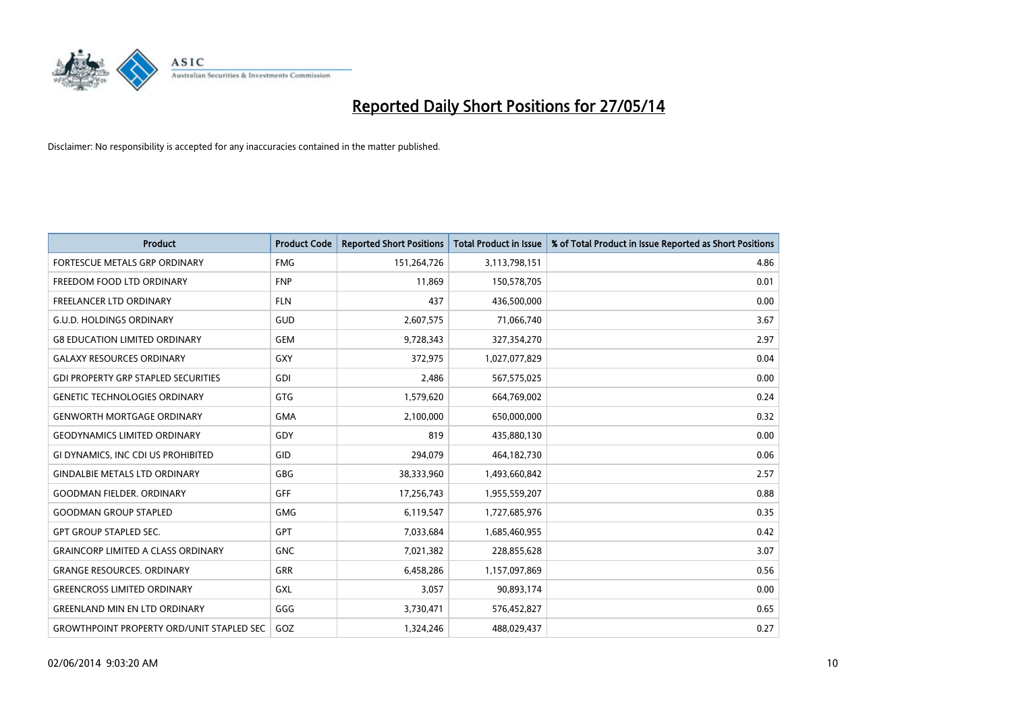

| <b>Product</b>                                   | <b>Product Code</b> | <b>Reported Short Positions</b> | <b>Total Product in Issue</b> | % of Total Product in Issue Reported as Short Positions |
|--------------------------------------------------|---------------------|---------------------------------|-------------------------------|---------------------------------------------------------|
| FORTESCUE METALS GRP ORDINARY                    | <b>FMG</b>          | 151,264,726                     | 3,113,798,151                 | 4.86                                                    |
| FREEDOM FOOD LTD ORDINARY                        | <b>FNP</b>          | 11.869                          | 150,578,705                   | 0.01                                                    |
| <b>FREELANCER LTD ORDINARY</b>                   | <b>FLN</b>          | 437                             | 436,500,000                   | 0.00                                                    |
| <b>G.U.D. HOLDINGS ORDINARY</b>                  | GUD                 | 2,607,575                       | 71,066,740                    | 3.67                                                    |
| <b>G8 EDUCATION LIMITED ORDINARY</b>             | <b>GEM</b>          | 9,728,343                       | 327,354,270                   | 2.97                                                    |
| <b>GALAXY RESOURCES ORDINARY</b>                 | <b>GXY</b>          | 372,975                         | 1,027,077,829                 | 0.04                                                    |
| <b>GDI PROPERTY GRP STAPLED SECURITIES</b>       | <b>GDI</b>          | 2.486                           | 567,575,025                   | 0.00                                                    |
| <b>GENETIC TECHNOLOGIES ORDINARY</b>             | <b>GTG</b>          | 1,579,620                       | 664,769,002                   | 0.24                                                    |
| <b>GENWORTH MORTGAGE ORDINARY</b>                | <b>GMA</b>          | 2,100,000                       | 650,000,000                   | 0.32                                                    |
| <b>GEODYNAMICS LIMITED ORDINARY</b>              | GDY                 | 819                             | 435,880,130                   | 0.00                                                    |
| GI DYNAMICS, INC CDI US PROHIBITED               | GID                 | 294,079                         | 464,182,730                   | 0.06                                                    |
| <b>GINDALBIE METALS LTD ORDINARY</b>             | GBG                 | 38,333,960                      | 1,493,660,842                 | 2.57                                                    |
| <b>GOODMAN FIELDER, ORDINARY</b>                 | <b>GFF</b>          | 17,256,743                      | 1,955,559,207                 | 0.88                                                    |
| <b>GOODMAN GROUP STAPLED</b>                     | <b>GMG</b>          | 6,119,547                       | 1,727,685,976                 | 0.35                                                    |
| <b>GPT GROUP STAPLED SEC.</b>                    | <b>GPT</b>          | 7,033,684                       | 1,685,460,955                 | 0.42                                                    |
| <b>GRAINCORP LIMITED A CLASS ORDINARY</b>        | <b>GNC</b>          | 7,021,382                       | 228,855,628                   | 3.07                                                    |
| <b>GRANGE RESOURCES, ORDINARY</b>                | <b>GRR</b>          | 6,458,286                       | 1,157,097,869                 | 0.56                                                    |
| <b>GREENCROSS LIMITED ORDINARY</b>               | <b>GXL</b>          | 3,057                           | 90,893,174                    | 0.00                                                    |
| <b>GREENLAND MIN EN LTD ORDINARY</b>             | GGG                 | 3,730,471                       | 576,452,827                   | 0.65                                                    |
| <b>GROWTHPOINT PROPERTY ORD/UNIT STAPLED SEC</b> | GOZ                 | 1.324.246                       | 488,029,437                   | 0.27                                                    |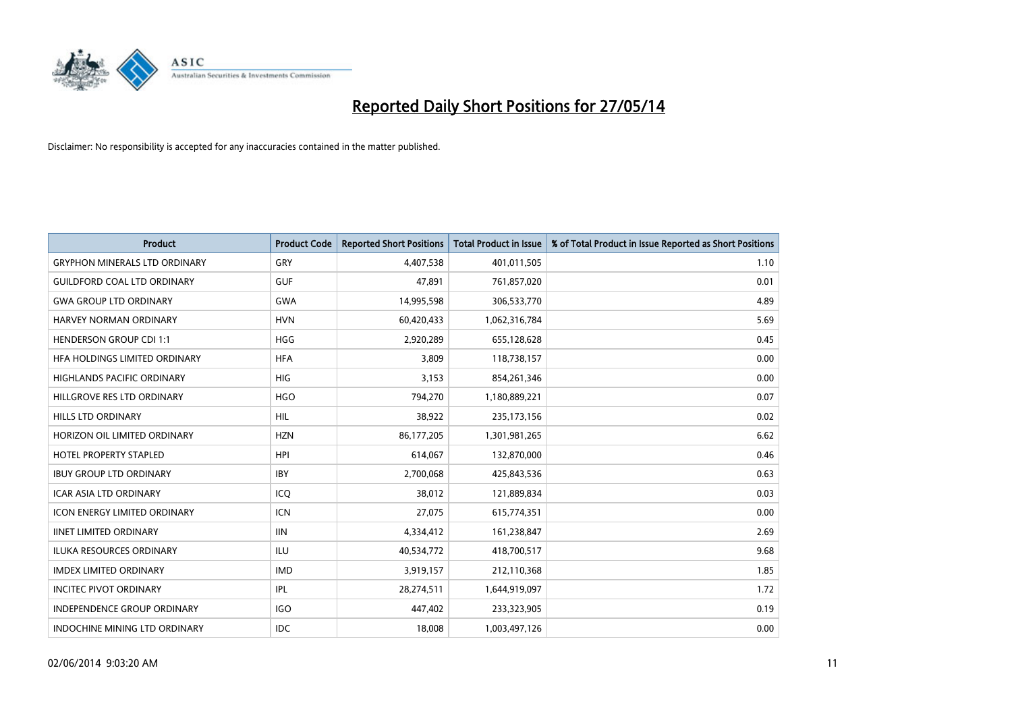

| <b>Product</b>                       | <b>Product Code</b> | <b>Reported Short Positions</b> | <b>Total Product in Issue</b> | % of Total Product in Issue Reported as Short Positions |
|--------------------------------------|---------------------|---------------------------------|-------------------------------|---------------------------------------------------------|
| <b>GRYPHON MINERALS LTD ORDINARY</b> | GRY                 | 4,407,538                       | 401,011,505                   | 1.10                                                    |
| <b>GUILDFORD COAL LTD ORDINARY</b>   | <b>GUF</b>          | 47,891                          | 761,857,020                   | 0.01                                                    |
| <b>GWA GROUP LTD ORDINARY</b>        | <b>GWA</b>          | 14,995,598                      | 306,533,770                   | 4.89                                                    |
| <b>HARVEY NORMAN ORDINARY</b>        | <b>HVN</b>          | 60,420,433                      | 1,062,316,784                 | 5.69                                                    |
| <b>HENDERSON GROUP CDI 1:1</b>       | <b>HGG</b>          | 2,920,289                       | 655,128,628                   | 0.45                                                    |
| HFA HOLDINGS LIMITED ORDINARY        | <b>HFA</b>          | 3,809                           | 118,738,157                   | 0.00                                                    |
| <b>HIGHLANDS PACIFIC ORDINARY</b>    | <b>HIG</b>          | 3,153                           | 854,261,346                   | 0.00                                                    |
| HILLGROVE RES LTD ORDINARY           | <b>HGO</b>          | 794,270                         | 1,180,889,221                 | 0.07                                                    |
| <b>HILLS LTD ORDINARY</b>            | HIL.                | 38,922                          | 235, 173, 156                 | 0.02                                                    |
| HORIZON OIL LIMITED ORDINARY         | <b>HZN</b>          | 86,177,205                      | 1,301,981,265                 | 6.62                                                    |
| HOTEL PROPERTY STAPLED               | <b>HPI</b>          | 614,067                         | 132,870,000                   | 0.46                                                    |
| <b>IBUY GROUP LTD ORDINARY</b>       | <b>IBY</b>          | 2,700,068                       | 425,843,536                   | 0.63                                                    |
| <b>ICAR ASIA LTD ORDINARY</b>        | ICO                 | 38,012                          | 121,889,834                   | 0.03                                                    |
| <b>ICON ENERGY LIMITED ORDINARY</b>  | ICN                 | 27,075                          | 615,774,351                   | 0.00                                                    |
| <b>IINET LIMITED ORDINARY</b>        | <b>IIN</b>          | 4,334,412                       | 161,238,847                   | 2.69                                                    |
| ILUKA RESOURCES ORDINARY             | ILU                 | 40,534,772                      | 418,700,517                   | 9.68                                                    |
| <b>IMDEX LIMITED ORDINARY</b>        | <b>IMD</b>          | 3,919,157                       | 212,110,368                   | 1.85                                                    |
| <b>INCITEC PIVOT ORDINARY</b>        | IPL                 | 28,274,511                      | 1,644,919,097                 | 1.72                                                    |
| <b>INDEPENDENCE GROUP ORDINARY</b>   | <b>IGO</b>          | 447,402                         | 233,323,905                   | 0.19                                                    |
| INDOCHINE MINING LTD ORDINARY        | <b>IDC</b>          | 18,008                          | 1,003,497,126                 | 0.00                                                    |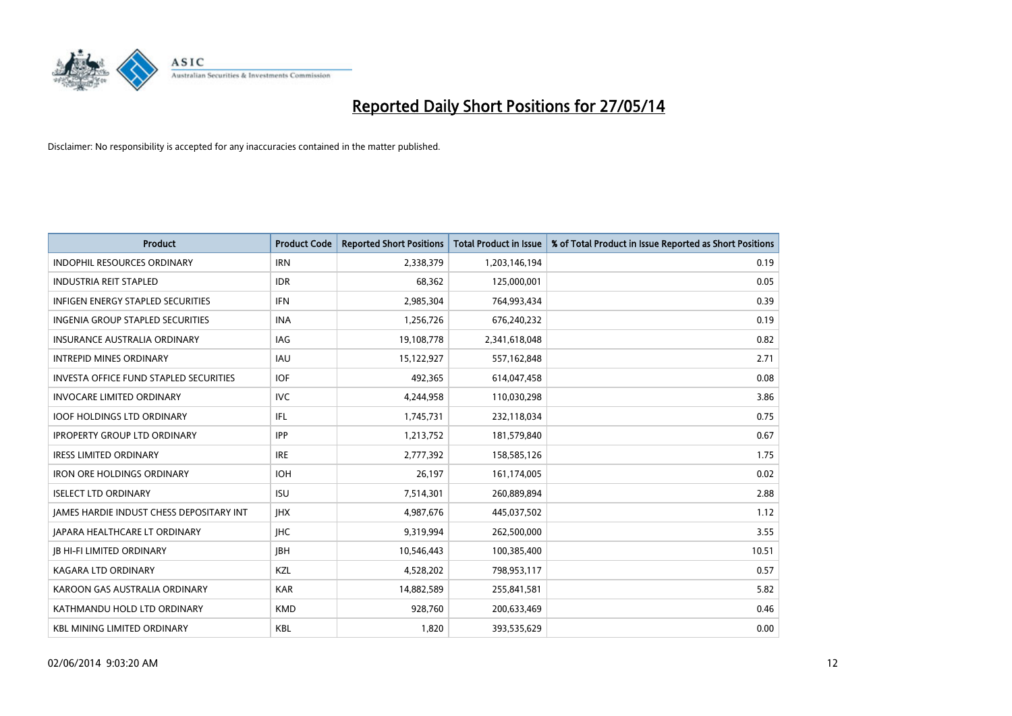

| <b>Product</b>                                | <b>Product Code</b> | <b>Reported Short Positions</b> | <b>Total Product in Issue</b> | % of Total Product in Issue Reported as Short Positions |
|-----------------------------------------------|---------------------|---------------------------------|-------------------------------|---------------------------------------------------------|
| <b>INDOPHIL RESOURCES ORDINARY</b>            | <b>IRN</b>          | 2,338,379                       | 1,203,146,194                 | 0.19                                                    |
| <b>INDUSTRIA REIT STAPLED</b>                 | <b>IDR</b>          | 68,362                          | 125,000,001                   | 0.05                                                    |
| <b>INFIGEN ENERGY STAPLED SECURITIES</b>      | <b>IFN</b>          | 2,985,304                       | 764,993,434                   | 0.39                                                    |
| INGENIA GROUP STAPLED SECURITIES              | <b>INA</b>          | 1,256,726                       | 676,240,232                   | 0.19                                                    |
| <b>INSURANCE AUSTRALIA ORDINARY</b>           | IAG                 | 19,108,778                      | 2,341,618,048                 | 0.82                                                    |
| <b>INTREPID MINES ORDINARY</b>                | <b>IAU</b>          | 15,122,927                      | 557,162,848                   | 2.71                                                    |
| <b>INVESTA OFFICE FUND STAPLED SECURITIES</b> | <b>IOF</b>          | 492.365                         | 614,047,458                   | 0.08                                                    |
| <b>INVOCARE LIMITED ORDINARY</b>              | <b>IVC</b>          | 4,244,958                       | 110,030,298                   | 3.86                                                    |
| <b>IOOF HOLDINGS LTD ORDINARY</b>             | IFL                 | 1,745,731                       | 232,118,034                   | 0.75                                                    |
| <b>IPROPERTY GROUP LTD ORDINARY</b>           | <b>IPP</b>          | 1,213,752                       | 181,579,840                   | 0.67                                                    |
| <b>IRESS LIMITED ORDINARY</b>                 | <b>IRE</b>          | 2,777,392                       | 158,585,126                   | 1.75                                                    |
| <b>IRON ORE HOLDINGS ORDINARY</b>             | <b>IOH</b>          | 26.197                          | 161,174,005                   | 0.02                                                    |
| <b>ISELECT LTD ORDINARY</b>                   | <b>ISU</b>          | 7,514,301                       | 260,889,894                   | 2.88                                                    |
| JAMES HARDIE INDUST CHESS DEPOSITARY INT      | <b>IHX</b>          | 4,987,676                       | 445,037,502                   | 1.12                                                    |
| <b>JAPARA HEALTHCARE LT ORDINARY</b>          | <b>IHC</b>          | 9,319,994                       | 262,500,000                   | 3.55                                                    |
| <b>JB HI-FI LIMITED ORDINARY</b>              | <b>IBH</b>          | 10,546,443                      | 100,385,400                   | 10.51                                                   |
| <b>KAGARA LTD ORDINARY</b>                    | KZL                 | 4,528,202                       | 798,953,117                   | 0.57                                                    |
| KAROON GAS AUSTRALIA ORDINARY                 | <b>KAR</b>          | 14,882,589                      | 255,841,581                   | 5.82                                                    |
| KATHMANDU HOLD LTD ORDINARY                   | <b>KMD</b>          | 928,760                         | 200,633,469                   | 0.46                                                    |
| <b>KBL MINING LIMITED ORDINARY</b>            | <b>KBL</b>          | 1,820                           | 393,535,629                   | 0.00                                                    |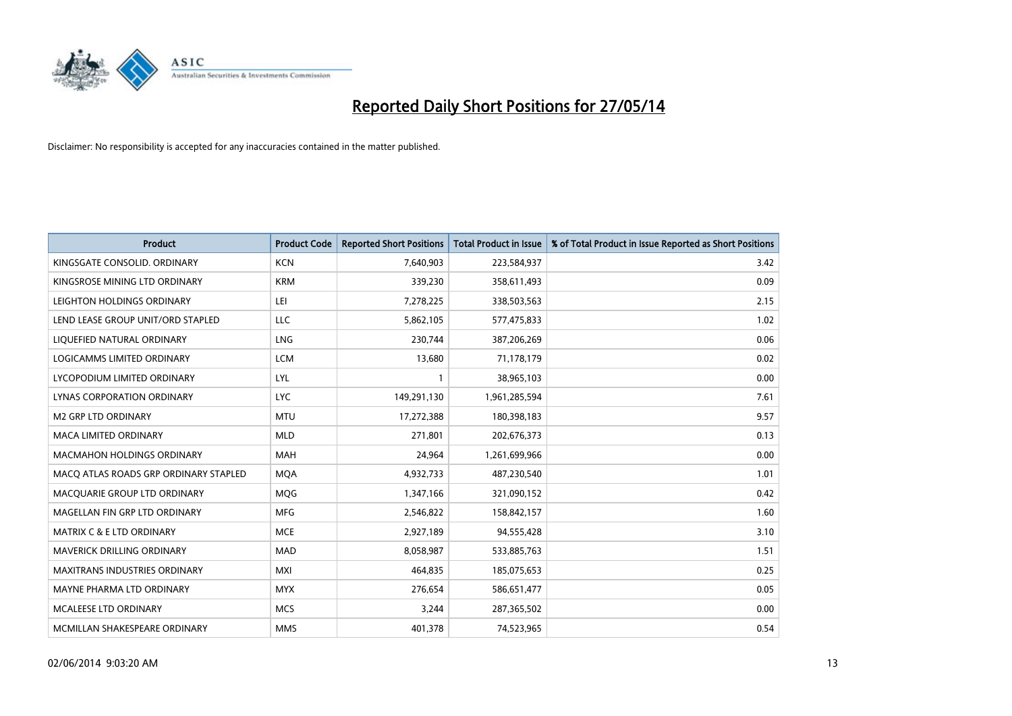

| <b>Product</b>                        | <b>Product Code</b> | <b>Reported Short Positions</b> | <b>Total Product in Issue</b> | % of Total Product in Issue Reported as Short Positions |
|---------------------------------------|---------------------|---------------------------------|-------------------------------|---------------------------------------------------------|
| KINGSGATE CONSOLID. ORDINARY          | <b>KCN</b>          | 7,640,903                       | 223,584,937                   | 3.42                                                    |
| KINGSROSE MINING LTD ORDINARY         | <b>KRM</b>          | 339,230                         | 358,611,493                   | 0.09                                                    |
| LEIGHTON HOLDINGS ORDINARY            | LEI                 | 7,278,225                       | 338,503,563                   | 2.15                                                    |
| LEND LEASE GROUP UNIT/ORD STAPLED     | LLC                 | 5,862,105                       | 577,475,833                   | 1.02                                                    |
| LIQUEFIED NATURAL ORDINARY            | LNG                 | 230,744                         | 387,206,269                   | 0.06                                                    |
| <b>LOGICAMMS LIMITED ORDINARY</b>     | <b>LCM</b>          | 13,680                          | 71,178,179                    | 0.02                                                    |
| LYCOPODIUM LIMITED ORDINARY           | LYL                 | $\mathbf{1}$                    | 38,965,103                    | 0.00                                                    |
| LYNAS CORPORATION ORDINARY            | <b>LYC</b>          | 149,291,130                     | 1,961,285,594                 | 7.61                                                    |
| <b>M2 GRP LTD ORDINARY</b>            | <b>MTU</b>          | 17,272,388                      | 180,398,183                   | 9.57                                                    |
| <b>MACA LIMITED ORDINARY</b>          | <b>MLD</b>          | 271,801                         | 202,676,373                   | 0.13                                                    |
| MACMAHON HOLDINGS ORDINARY            | MAH                 | 24,964                          | 1,261,699,966                 | 0.00                                                    |
| MACO ATLAS ROADS GRP ORDINARY STAPLED | <b>MQA</b>          | 4,932,733                       | 487,230,540                   | 1.01                                                    |
| MACQUARIE GROUP LTD ORDINARY          | <b>MOG</b>          | 1,347,166                       | 321,090,152                   | 0.42                                                    |
| MAGELLAN FIN GRP LTD ORDINARY         | <b>MFG</b>          | 2,546,822                       | 158,842,157                   | 1.60                                                    |
| <b>MATRIX C &amp; E LTD ORDINARY</b>  | <b>MCE</b>          | 2,927,189                       | 94,555,428                    | 3.10                                                    |
| MAVERICK DRILLING ORDINARY            | <b>MAD</b>          | 8,058,987                       | 533,885,763                   | 1.51                                                    |
| MAXITRANS INDUSTRIES ORDINARY         | <b>MXI</b>          | 464,835                         | 185,075,653                   | 0.25                                                    |
| MAYNE PHARMA LTD ORDINARY             | <b>MYX</b>          | 276,654                         | 586,651,477                   | 0.05                                                    |
| <b>MCALEESE LTD ORDINARY</b>          | <b>MCS</b>          | 3,244                           | 287,365,502                   | 0.00                                                    |
| MCMILLAN SHAKESPEARE ORDINARY         | <b>MMS</b>          | 401,378                         | 74,523,965                    | 0.54                                                    |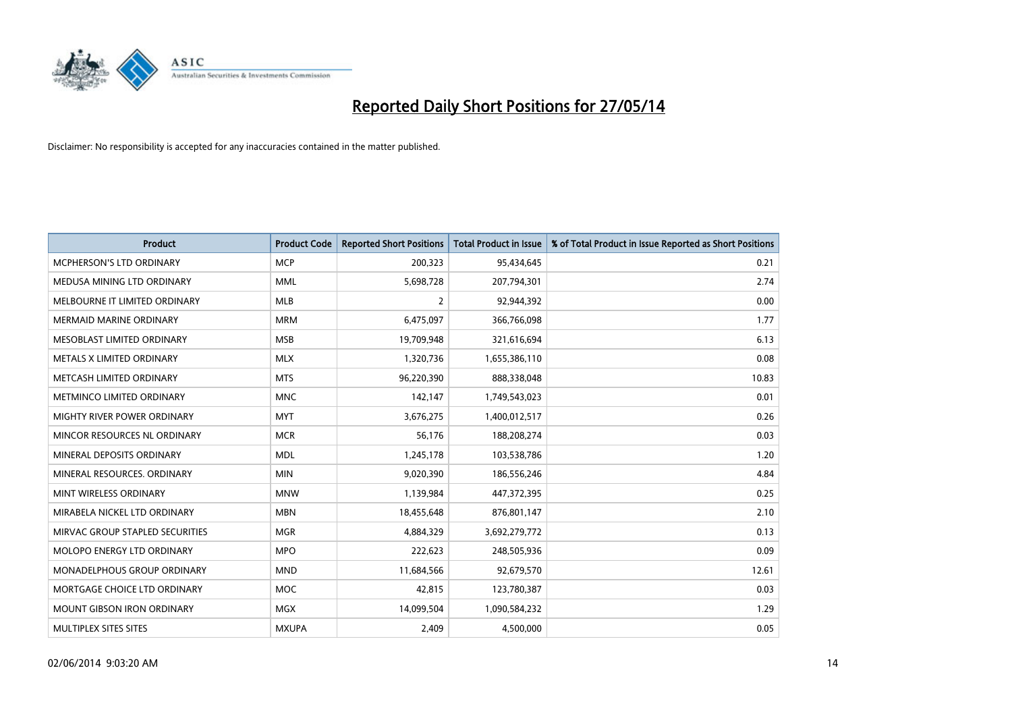

| <b>Product</b>                    | <b>Product Code</b> | <b>Reported Short Positions</b> | <b>Total Product in Issue</b> | % of Total Product in Issue Reported as Short Positions |
|-----------------------------------|---------------------|---------------------------------|-------------------------------|---------------------------------------------------------|
| <b>MCPHERSON'S LTD ORDINARY</b>   | <b>MCP</b>          | 200,323                         | 95,434,645                    | 0.21                                                    |
| MEDUSA MINING LTD ORDINARY        | <b>MML</b>          | 5,698,728                       | 207,794,301                   | 2.74                                                    |
| MELBOURNE IT LIMITED ORDINARY     | <b>MLB</b>          | $\overline{2}$                  | 92,944,392                    | 0.00                                                    |
| <b>MERMAID MARINE ORDINARY</b>    | <b>MRM</b>          | 6,475,097                       | 366,766,098                   | 1.77                                                    |
| MESOBLAST LIMITED ORDINARY        | <b>MSB</b>          | 19,709,948                      | 321,616,694                   | 6.13                                                    |
| METALS X LIMITED ORDINARY         | <b>MLX</b>          | 1,320,736                       | 1,655,386,110                 | 0.08                                                    |
| METCASH LIMITED ORDINARY          | <b>MTS</b>          | 96,220,390                      | 888,338,048                   | 10.83                                                   |
| METMINCO LIMITED ORDINARY         | <b>MNC</b>          | 142,147                         | 1,749,543,023                 | 0.01                                                    |
| MIGHTY RIVER POWER ORDINARY       | <b>MYT</b>          | 3,676,275                       | 1,400,012,517                 | 0.26                                                    |
| MINCOR RESOURCES NL ORDINARY      | <b>MCR</b>          | 56,176                          | 188,208,274                   | 0.03                                                    |
| MINERAL DEPOSITS ORDINARY         | <b>MDL</b>          | 1,245,178                       | 103,538,786                   | 1.20                                                    |
| MINERAL RESOURCES, ORDINARY       | <b>MIN</b>          | 9,020,390                       | 186,556,246                   | 4.84                                                    |
| MINT WIRELESS ORDINARY            | <b>MNW</b>          | 1,139,984                       | 447,372,395                   | 0.25                                                    |
| MIRABELA NICKEL LTD ORDINARY      | <b>MBN</b>          | 18,455,648                      | 876,801,147                   | 2.10                                                    |
| MIRVAC GROUP STAPLED SECURITIES   | <b>MGR</b>          | 4,884,329                       | 3,692,279,772                 | 0.13                                                    |
| MOLOPO ENERGY LTD ORDINARY        | <b>MPO</b>          | 222,623                         | 248,505,936                   | 0.09                                                    |
| MONADELPHOUS GROUP ORDINARY       | <b>MND</b>          | 11,684,566                      | 92,679,570                    | 12.61                                                   |
| MORTGAGE CHOICE LTD ORDINARY      | <b>MOC</b>          | 42,815                          | 123,780,387                   | 0.03                                                    |
| <b>MOUNT GIBSON IRON ORDINARY</b> | <b>MGX</b>          | 14,099,504                      | 1,090,584,232                 | 1.29                                                    |
| MULTIPLEX SITES SITES             | <b>MXUPA</b>        | 2,409                           | 4,500,000                     | 0.05                                                    |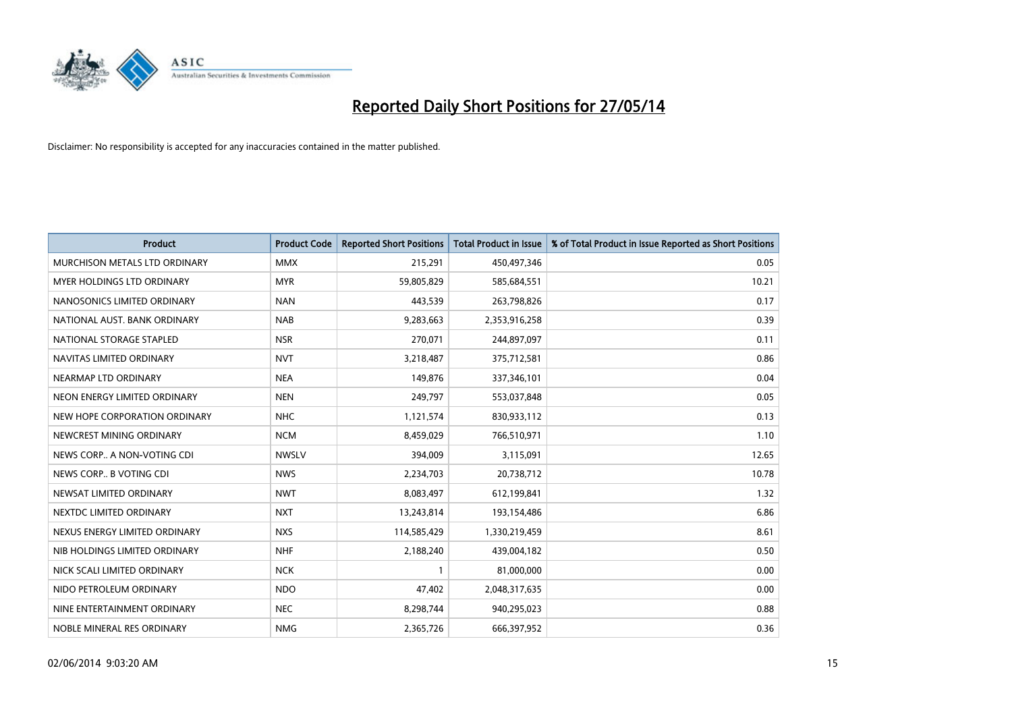

| <b>Product</b>                    | <b>Product Code</b> | <b>Reported Short Positions</b> | <b>Total Product in Issue</b> | % of Total Product in Issue Reported as Short Positions |
|-----------------------------------|---------------------|---------------------------------|-------------------------------|---------------------------------------------------------|
| MURCHISON METALS LTD ORDINARY     | <b>MMX</b>          | 215,291                         | 450,497,346                   | 0.05                                                    |
| <b>MYER HOLDINGS LTD ORDINARY</b> | <b>MYR</b>          | 59,805,829                      | 585,684,551                   | 10.21                                                   |
| NANOSONICS LIMITED ORDINARY       | <b>NAN</b>          | 443,539                         | 263,798,826                   | 0.17                                                    |
| NATIONAL AUST, BANK ORDINARY      | <b>NAB</b>          | 9,283,663                       | 2,353,916,258                 | 0.39                                                    |
| NATIONAL STORAGE STAPLED          | <b>NSR</b>          | 270,071                         | 244,897,097                   | 0.11                                                    |
| NAVITAS LIMITED ORDINARY          | <b>NVT</b>          | 3,218,487                       | 375,712,581                   | 0.86                                                    |
| NEARMAP LTD ORDINARY              | <b>NEA</b>          | 149,876                         | 337,346,101                   | 0.04                                                    |
| NEON ENERGY LIMITED ORDINARY      | <b>NEN</b>          | 249,797                         | 553,037,848                   | 0.05                                                    |
| NEW HOPE CORPORATION ORDINARY     | <b>NHC</b>          | 1,121,574                       | 830,933,112                   | 0.13                                                    |
| NEWCREST MINING ORDINARY          | <b>NCM</b>          | 8,459,029                       | 766,510,971                   | 1.10                                                    |
| NEWS CORP A NON-VOTING CDI        | <b>NWSLV</b>        | 394,009                         | 3,115,091                     | 12.65                                                   |
| NEWS CORP B VOTING CDI            | <b>NWS</b>          | 2,234,703                       | 20,738,712                    | 10.78                                                   |
| NEWSAT LIMITED ORDINARY           | <b>NWT</b>          | 8,083,497                       | 612,199,841                   | 1.32                                                    |
| NEXTDC LIMITED ORDINARY           | <b>NXT</b>          | 13,243,814                      | 193,154,486                   | 6.86                                                    |
| NEXUS ENERGY LIMITED ORDINARY     | <b>NXS</b>          | 114,585,429                     | 1,330,219,459                 | 8.61                                                    |
| NIB HOLDINGS LIMITED ORDINARY     | <b>NHF</b>          | 2,188,240                       | 439,004,182                   | 0.50                                                    |
| NICK SCALI LIMITED ORDINARY       | <b>NCK</b>          | $\mathbf{1}$                    | 81,000,000                    | 0.00                                                    |
| NIDO PETROLEUM ORDINARY           | <b>NDO</b>          | 47,402                          | 2,048,317,635                 | 0.00                                                    |
| NINE ENTERTAINMENT ORDINARY       | <b>NEC</b>          | 8,298,744                       | 940,295,023                   | 0.88                                                    |
| NOBLE MINERAL RES ORDINARY        | <b>NMG</b>          | 2,365,726                       | 666,397,952                   | 0.36                                                    |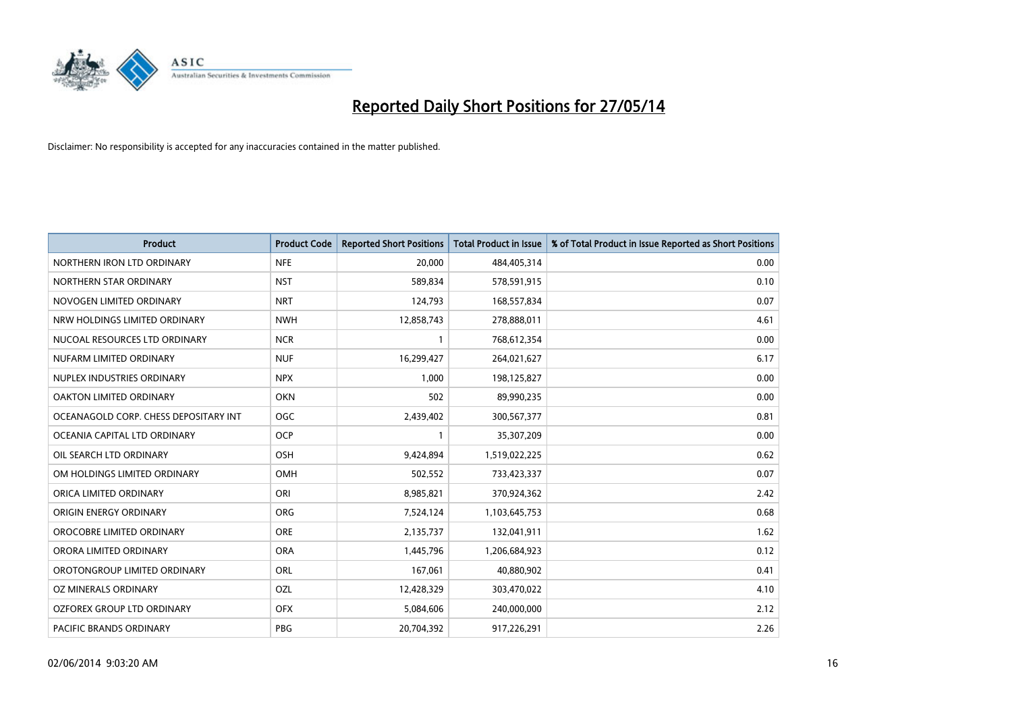

| <b>Product</b>                        | <b>Product Code</b> | <b>Reported Short Positions</b> | <b>Total Product in Issue</b> | % of Total Product in Issue Reported as Short Positions |
|---------------------------------------|---------------------|---------------------------------|-------------------------------|---------------------------------------------------------|
| NORTHERN IRON LTD ORDINARY            | <b>NFE</b>          | 20,000                          | 484,405,314                   | 0.00                                                    |
| NORTHERN STAR ORDINARY                | <b>NST</b>          | 589,834                         | 578,591,915                   | 0.10                                                    |
| NOVOGEN LIMITED ORDINARY              | <b>NRT</b>          | 124,793                         | 168,557,834                   | 0.07                                                    |
| NRW HOLDINGS LIMITED ORDINARY         | <b>NWH</b>          | 12,858,743                      | 278,888,011                   | 4.61                                                    |
| NUCOAL RESOURCES LTD ORDINARY         | <b>NCR</b>          | $\mathbf{1}$                    | 768,612,354                   | 0.00                                                    |
| NUFARM LIMITED ORDINARY               | <b>NUF</b>          | 16,299,427                      | 264,021,627                   | 6.17                                                    |
| NUPLEX INDUSTRIES ORDINARY            | <b>NPX</b>          | 1,000                           | 198,125,827                   | 0.00                                                    |
| OAKTON LIMITED ORDINARY               | <b>OKN</b>          | 502                             | 89,990,235                    | 0.00                                                    |
| OCEANAGOLD CORP. CHESS DEPOSITARY INT | OGC                 | 2,439,402                       | 300,567,377                   | 0.81                                                    |
| OCEANIA CAPITAL LTD ORDINARY          | <b>OCP</b>          | $\mathbf{1}$                    | 35,307,209                    | 0.00                                                    |
| OIL SEARCH LTD ORDINARY               | OSH                 | 9,424,894                       | 1,519,022,225                 | 0.62                                                    |
| OM HOLDINGS LIMITED ORDINARY          | OMH                 | 502,552                         | 733,423,337                   | 0.07                                                    |
| ORICA LIMITED ORDINARY                | ORI                 | 8,985,821                       | 370,924,362                   | 2.42                                                    |
| ORIGIN ENERGY ORDINARY                | <b>ORG</b>          | 7,524,124                       | 1,103,645,753                 | 0.68                                                    |
| OROCOBRE LIMITED ORDINARY             | <b>ORE</b>          | 2,135,737                       | 132,041,911                   | 1.62                                                    |
| ORORA LIMITED ORDINARY                | <b>ORA</b>          | 1,445,796                       | 1,206,684,923                 | 0.12                                                    |
| OROTONGROUP LIMITED ORDINARY          | ORL                 | 167,061                         | 40,880,902                    | 0.41                                                    |
| OZ MINERALS ORDINARY                  | OZL                 | 12,428,329                      | 303,470,022                   | 4.10                                                    |
| OZFOREX GROUP LTD ORDINARY            | <b>OFX</b>          | 5,084,606                       | 240,000,000                   | 2.12                                                    |
| PACIFIC BRANDS ORDINARY               | <b>PBG</b>          | 20,704,392                      | 917,226,291                   | 2.26                                                    |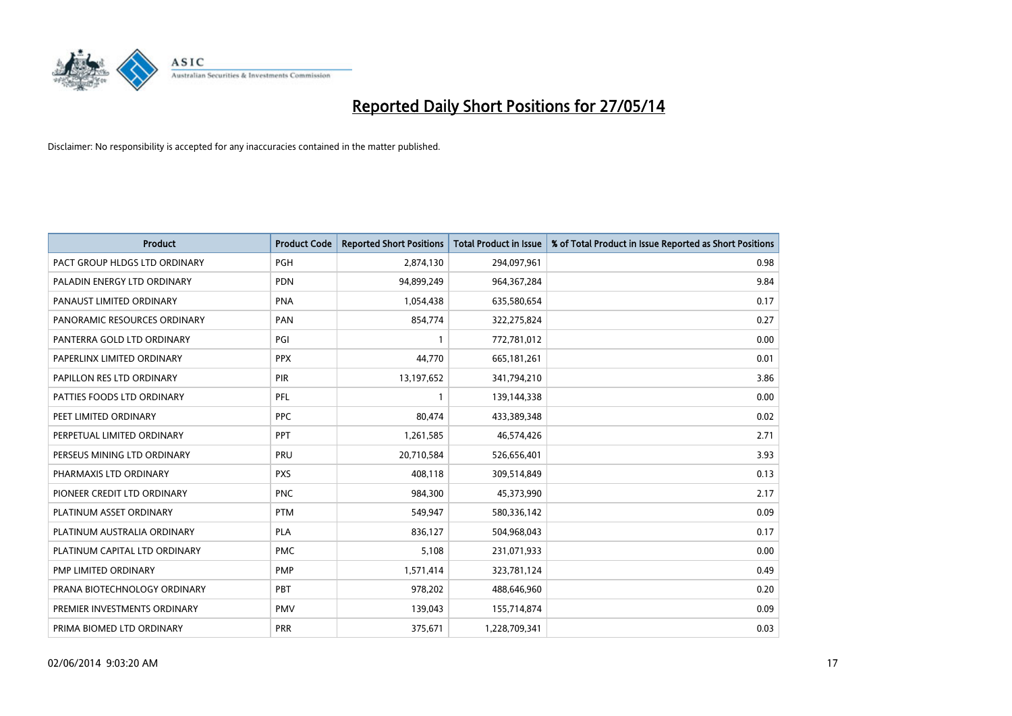

| <b>Product</b>                | <b>Product Code</b> | <b>Reported Short Positions</b> | <b>Total Product in Issue</b> | % of Total Product in Issue Reported as Short Positions |
|-------------------------------|---------------------|---------------------------------|-------------------------------|---------------------------------------------------------|
| PACT GROUP HLDGS LTD ORDINARY | <b>PGH</b>          | 2,874,130                       | 294,097,961                   | 0.98                                                    |
| PALADIN ENERGY LTD ORDINARY   | <b>PDN</b>          | 94,899,249                      | 964,367,284                   | 9.84                                                    |
| PANAUST LIMITED ORDINARY      | <b>PNA</b>          | 1,054,438                       | 635,580,654                   | 0.17                                                    |
| PANORAMIC RESOURCES ORDINARY  | PAN                 | 854,774                         | 322,275,824                   | 0.27                                                    |
| PANTERRA GOLD LTD ORDINARY    | PGI                 | $\mathbf{1}$                    | 772,781,012                   | 0.00                                                    |
| PAPERLINX LIMITED ORDINARY    | <b>PPX</b>          | 44,770                          | 665, 181, 261                 | 0.01                                                    |
| PAPILLON RES LTD ORDINARY     | PIR                 | 13,197,652                      | 341,794,210                   | 3.86                                                    |
| PATTIES FOODS LTD ORDINARY    | PFL                 | $\mathbf{1}$                    | 139,144,338                   | 0.00                                                    |
| PEET LIMITED ORDINARY         | <b>PPC</b>          | 80,474                          | 433,389,348                   | 0.02                                                    |
| PERPETUAL LIMITED ORDINARY    | PPT                 | 1,261,585                       | 46,574,426                    | 2.71                                                    |
| PERSEUS MINING LTD ORDINARY   | PRU                 | 20,710,584                      | 526,656,401                   | 3.93                                                    |
| PHARMAXIS LTD ORDINARY        | <b>PXS</b>          | 408,118                         | 309,514,849                   | 0.13                                                    |
| PIONEER CREDIT LTD ORDINARY   | <b>PNC</b>          | 984,300                         | 45,373,990                    | 2.17                                                    |
| PLATINUM ASSET ORDINARY       | <b>PTM</b>          | 549,947                         | 580,336,142                   | 0.09                                                    |
| PLATINUM AUSTRALIA ORDINARY   | <b>PLA</b>          | 836,127                         | 504,968,043                   | 0.17                                                    |
| PLATINUM CAPITAL LTD ORDINARY | <b>PMC</b>          | 5,108                           | 231,071,933                   | 0.00                                                    |
| PMP LIMITED ORDINARY          | <b>PMP</b>          | 1,571,414                       | 323,781,124                   | 0.49                                                    |
| PRANA BIOTECHNOLOGY ORDINARY  | <b>PBT</b>          | 978,202                         | 488,646,960                   | 0.20                                                    |
| PREMIER INVESTMENTS ORDINARY  | <b>PMV</b>          | 139,043                         | 155,714,874                   | 0.09                                                    |
| PRIMA BIOMED LTD ORDINARY     | <b>PRR</b>          | 375,671                         | 1,228,709,341                 | 0.03                                                    |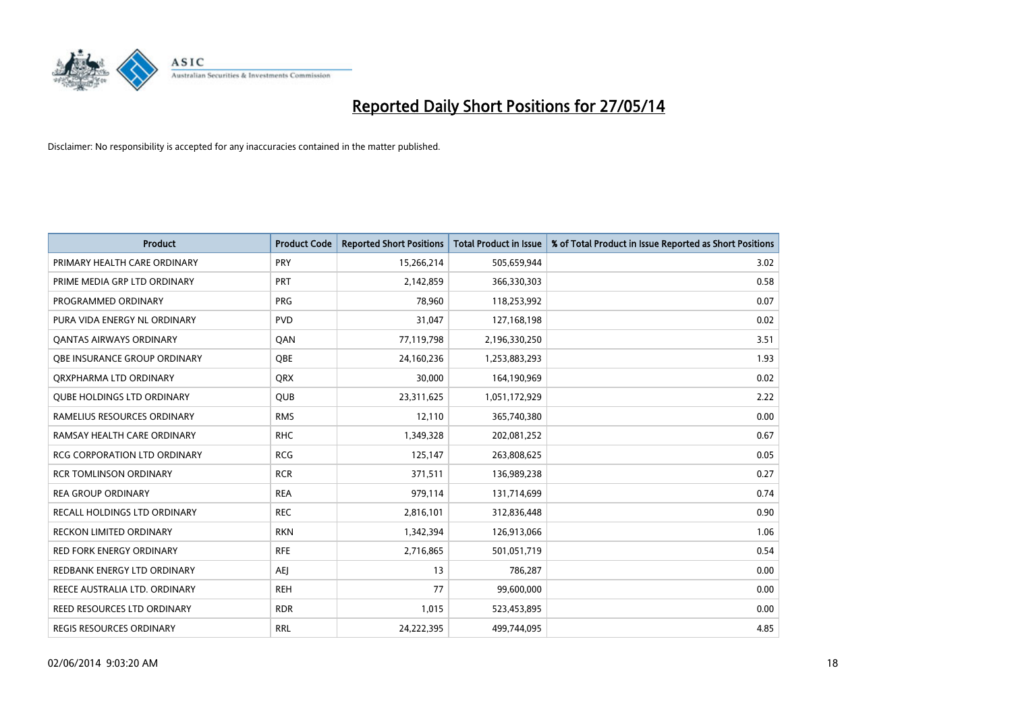

| <b>Product</b>                      | <b>Product Code</b> | <b>Reported Short Positions</b> | <b>Total Product in Issue</b> | % of Total Product in Issue Reported as Short Positions |
|-------------------------------------|---------------------|---------------------------------|-------------------------------|---------------------------------------------------------|
| PRIMARY HEALTH CARE ORDINARY        | <b>PRY</b>          | 15,266,214                      | 505,659,944                   | 3.02                                                    |
| PRIME MEDIA GRP LTD ORDINARY        | <b>PRT</b>          | 2,142,859                       | 366,330,303                   | 0.58                                                    |
| PROGRAMMED ORDINARY                 | <b>PRG</b>          | 78,960                          | 118,253,992                   | 0.07                                                    |
| PURA VIDA ENERGY NL ORDINARY        | <b>PVD</b>          | 31,047                          | 127,168,198                   | 0.02                                                    |
| OANTAS AIRWAYS ORDINARY             | QAN                 | 77,119,798                      | 2,196,330,250                 | 3.51                                                    |
| OBE INSURANCE GROUP ORDINARY        | <b>OBE</b>          | 24,160,236                      | 1,253,883,293                 | 1.93                                                    |
| ORXPHARMA LTD ORDINARY              | <b>QRX</b>          | 30,000                          | 164,190,969                   | 0.02                                                    |
| <b>OUBE HOLDINGS LTD ORDINARY</b>   | <b>QUB</b>          | 23,311,625                      | 1,051,172,929                 | 2.22                                                    |
| RAMELIUS RESOURCES ORDINARY         | <b>RMS</b>          | 12,110                          | 365,740,380                   | 0.00                                                    |
| RAMSAY HEALTH CARE ORDINARY         | <b>RHC</b>          | 1,349,328                       | 202,081,252                   | 0.67                                                    |
| <b>RCG CORPORATION LTD ORDINARY</b> | <b>RCG</b>          | 125,147                         | 263,808,625                   | 0.05                                                    |
| <b>RCR TOMLINSON ORDINARY</b>       | <b>RCR</b>          | 371,511                         | 136,989,238                   | 0.27                                                    |
| <b>REA GROUP ORDINARY</b>           | <b>REA</b>          | 979,114                         | 131,714,699                   | 0.74                                                    |
| RECALL HOLDINGS LTD ORDINARY        | <b>REC</b>          | 2,816,101                       | 312,836,448                   | 0.90                                                    |
| <b>RECKON LIMITED ORDINARY</b>      | <b>RKN</b>          | 1,342,394                       | 126,913,066                   | 1.06                                                    |
| <b>RED FORK ENERGY ORDINARY</b>     | <b>RFE</b>          | 2,716,865                       | 501,051,719                   | 0.54                                                    |
| REDBANK ENERGY LTD ORDINARY         | AEJ                 | 13                              | 786,287                       | 0.00                                                    |
| REECE AUSTRALIA LTD. ORDINARY       | <b>REH</b>          | 77                              | 99,600,000                    | 0.00                                                    |
| <b>REED RESOURCES LTD ORDINARY</b>  | <b>RDR</b>          | 1,015                           | 523,453,895                   | 0.00                                                    |
| REGIS RESOURCES ORDINARY            | <b>RRL</b>          | 24,222,395                      | 499,744,095                   | 4.85                                                    |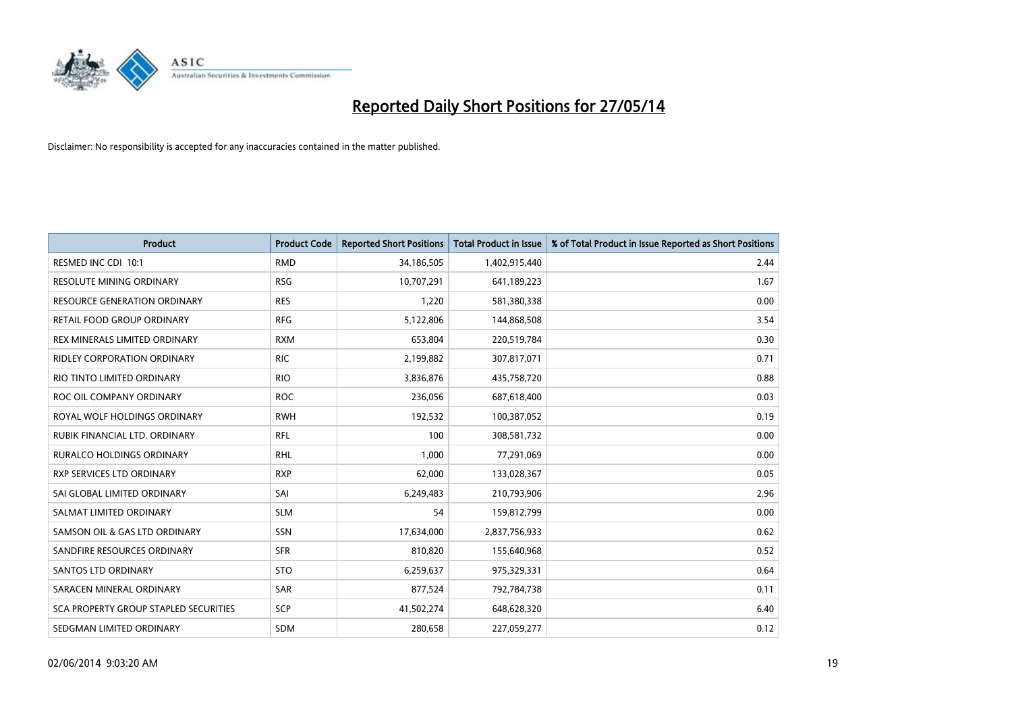

| <b>Product</b>                        | <b>Product Code</b> | <b>Reported Short Positions</b> | <b>Total Product in Issue</b> | % of Total Product in Issue Reported as Short Positions |
|---------------------------------------|---------------------|---------------------------------|-------------------------------|---------------------------------------------------------|
| RESMED INC CDI 10:1                   | <b>RMD</b>          | 34,186,505                      | 1,402,915,440                 | 2.44                                                    |
| RESOLUTE MINING ORDINARY              | <b>RSG</b>          | 10,707,291                      | 641,189,223                   | 1.67                                                    |
| <b>RESOURCE GENERATION ORDINARY</b>   | <b>RES</b>          | 1,220                           | 581,380,338                   | 0.00                                                    |
| RETAIL FOOD GROUP ORDINARY            | <b>RFG</b>          | 5,122,806                       | 144,868,508                   | 3.54                                                    |
| REX MINERALS LIMITED ORDINARY         | <b>RXM</b>          | 653,804                         | 220,519,784                   | 0.30                                                    |
| <b>RIDLEY CORPORATION ORDINARY</b>    | <b>RIC</b>          | 2,199,882                       | 307,817,071                   | 0.71                                                    |
| RIO TINTO LIMITED ORDINARY            | <b>RIO</b>          | 3,836,876                       | 435,758,720                   | 0.88                                                    |
| ROC OIL COMPANY ORDINARY              | <b>ROC</b>          | 236,056                         | 687,618,400                   | 0.03                                                    |
| ROYAL WOLF HOLDINGS ORDINARY          | <b>RWH</b>          | 192,532                         | 100,387,052                   | 0.19                                                    |
| RUBIK FINANCIAL LTD, ORDINARY         | RFL                 | 100                             | 308,581,732                   | 0.00                                                    |
| RURALCO HOLDINGS ORDINARY             | <b>RHL</b>          | 1,000                           | 77,291,069                    | 0.00                                                    |
| <b>RXP SERVICES LTD ORDINARY</b>      | <b>RXP</b>          | 62,000                          | 133,028,367                   | 0.05                                                    |
| SAI GLOBAL LIMITED ORDINARY           | SAI                 | 6,249,483                       | 210,793,906                   | 2.96                                                    |
| SALMAT LIMITED ORDINARY               | <b>SLM</b>          | 54                              | 159,812,799                   | 0.00                                                    |
| SAMSON OIL & GAS LTD ORDINARY         | SSN                 | 17,634,000                      | 2,837,756,933                 | 0.62                                                    |
| SANDFIRE RESOURCES ORDINARY           | <b>SFR</b>          | 810,820                         | 155,640,968                   | 0.52                                                    |
| <b>SANTOS LTD ORDINARY</b>            | <b>STO</b>          | 6,259,637                       | 975,329,331                   | 0.64                                                    |
| SARACEN MINERAL ORDINARY              | <b>SAR</b>          | 877,524                         | 792,784,738                   | 0.11                                                    |
| SCA PROPERTY GROUP STAPLED SECURITIES | <b>SCP</b>          | 41,502,274                      | 648,628,320                   | 6.40                                                    |
| SEDGMAN LIMITED ORDINARY              | <b>SDM</b>          | 280,658                         | 227,059,277                   | 0.12                                                    |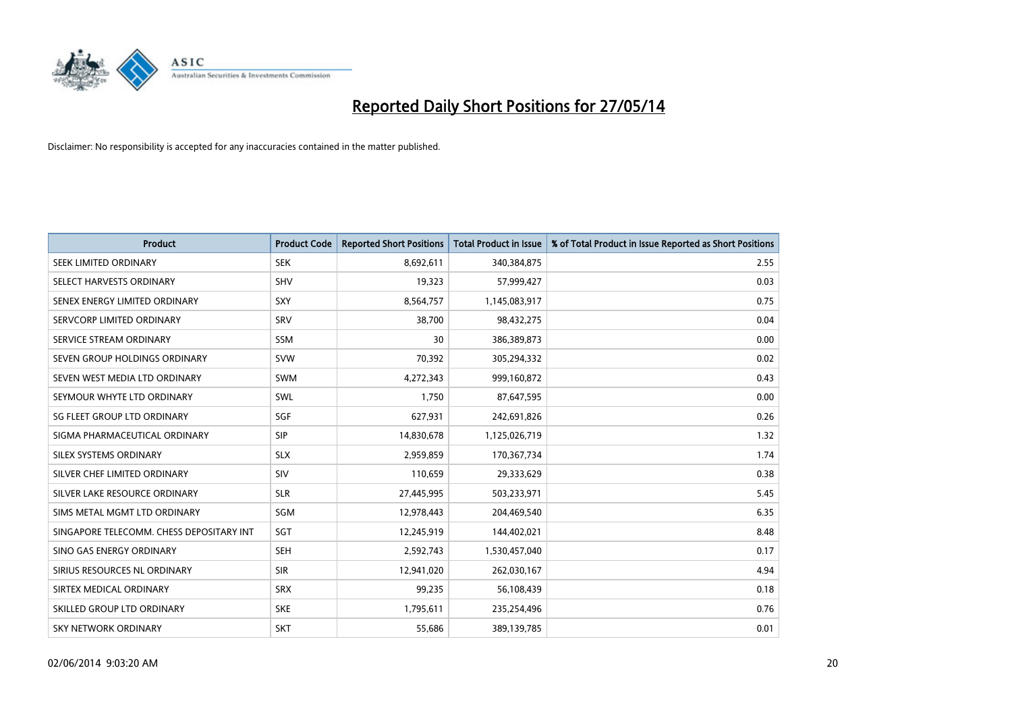

| <b>Product</b>                           | <b>Product Code</b> | <b>Reported Short Positions</b> | <b>Total Product in Issue</b> | % of Total Product in Issue Reported as Short Positions |
|------------------------------------------|---------------------|---------------------------------|-------------------------------|---------------------------------------------------------|
| SEEK LIMITED ORDINARY                    | <b>SEK</b>          | 8,692,611                       | 340,384,875                   | 2.55                                                    |
| SELECT HARVESTS ORDINARY                 | SHV                 | 19,323                          | 57,999,427                    | 0.03                                                    |
| SENEX ENERGY LIMITED ORDINARY            | <b>SXY</b>          | 8,564,757                       | 1,145,083,917                 | 0.75                                                    |
| SERVCORP LIMITED ORDINARY                | SRV                 | 38,700                          | 98,432,275                    | 0.04                                                    |
| SERVICE STREAM ORDINARY                  | <b>SSM</b>          | 30                              | 386,389,873                   | 0.00                                                    |
| SEVEN GROUP HOLDINGS ORDINARY            | <b>SVW</b>          | 70,392                          | 305,294,332                   | 0.02                                                    |
| SEVEN WEST MEDIA LTD ORDINARY            | <b>SWM</b>          | 4,272,343                       | 999,160,872                   | 0.43                                                    |
| SEYMOUR WHYTE LTD ORDINARY               | <b>SWL</b>          | 1,750                           | 87,647,595                    | 0.00                                                    |
| SG FLEET GROUP LTD ORDINARY              | SGF                 | 627,931                         | 242,691,826                   | 0.26                                                    |
| SIGMA PHARMACEUTICAL ORDINARY            | <b>SIP</b>          | 14,830,678                      | 1,125,026,719                 | 1.32                                                    |
| SILEX SYSTEMS ORDINARY                   | <b>SLX</b>          | 2,959,859                       | 170,367,734                   | 1.74                                                    |
| SILVER CHEF LIMITED ORDINARY             | <b>SIV</b>          | 110,659                         | 29,333,629                    | 0.38                                                    |
| SILVER LAKE RESOURCE ORDINARY            | <b>SLR</b>          | 27,445,995                      | 503,233,971                   | 5.45                                                    |
| SIMS METAL MGMT LTD ORDINARY             | SGM                 | 12,978,443                      | 204,469,540                   | 6.35                                                    |
| SINGAPORE TELECOMM. CHESS DEPOSITARY INT | SGT                 | 12,245,919                      | 144,402,021                   | 8.48                                                    |
| SINO GAS ENERGY ORDINARY                 | <b>SEH</b>          | 2,592,743                       | 1,530,457,040                 | 0.17                                                    |
| SIRIUS RESOURCES NL ORDINARY             | <b>SIR</b>          | 12,941,020                      | 262,030,167                   | 4.94                                                    |
| SIRTEX MEDICAL ORDINARY                  | <b>SRX</b>          | 99,235                          | 56,108,439                    | 0.18                                                    |
| SKILLED GROUP LTD ORDINARY               | <b>SKE</b>          | 1,795,611                       | 235,254,496                   | 0.76                                                    |
| <b>SKY NETWORK ORDINARY</b>              | <b>SKT</b>          | 55,686                          | 389,139,785                   | 0.01                                                    |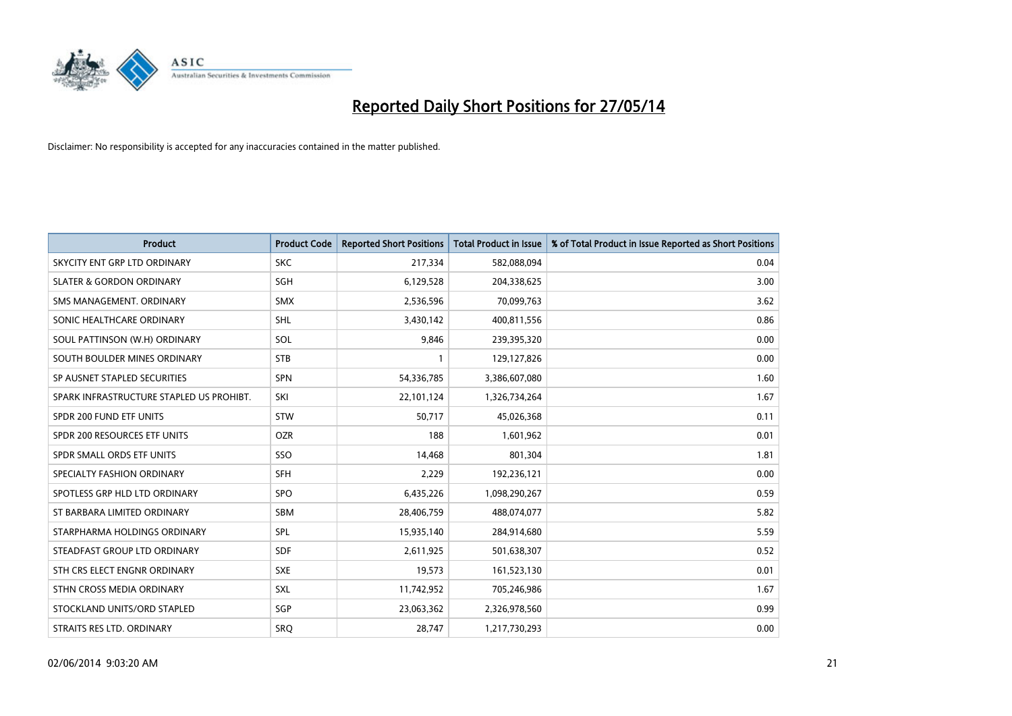

| <b>Product</b>                           | <b>Product Code</b> | <b>Reported Short Positions</b> | <b>Total Product in Issue</b> | % of Total Product in Issue Reported as Short Positions |
|------------------------------------------|---------------------|---------------------------------|-------------------------------|---------------------------------------------------------|
| SKYCITY ENT GRP LTD ORDINARY             | <b>SKC</b>          | 217,334                         | 582,088,094                   | 0.04                                                    |
| <b>SLATER &amp; GORDON ORDINARY</b>      | SGH                 | 6,129,528                       | 204,338,625                   | 3.00                                                    |
| SMS MANAGEMENT, ORDINARY                 | <b>SMX</b>          | 2,536,596                       | 70,099,763                    | 3.62                                                    |
| SONIC HEALTHCARE ORDINARY                | SHL                 | 3,430,142                       | 400,811,556                   | 0.86                                                    |
| SOUL PATTINSON (W.H) ORDINARY            | SOL                 | 9,846                           | 239,395,320                   | 0.00                                                    |
| SOUTH BOULDER MINES ORDINARY             | <b>STB</b>          | 1                               | 129,127,826                   | 0.00                                                    |
| SP AUSNET STAPLED SECURITIES             | <b>SPN</b>          | 54,336,785                      | 3,386,607,080                 | 1.60                                                    |
| SPARK INFRASTRUCTURE STAPLED US PROHIBT. | SKI                 | 22,101,124                      | 1,326,734,264                 | 1.67                                                    |
| SPDR 200 FUND ETF UNITS                  | <b>STW</b>          | 50,717                          | 45,026,368                    | 0.11                                                    |
| SPDR 200 RESOURCES ETF UNITS             | <b>OZR</b>          | 188                             | 1,601,962                     | 0.01                                                    |
| SPDR SMALL ORDS ETF UNITS                | SSO                 | 14,468                          | 801,304                       | 1.81                                                    |
| SPECIALTY FASHION ORDINARY               | <b>SFH</b>          | 2,229                           | 192,236,121                   | 0.00                                                    |
| SPOTLESS GRP HLD LTD ORDINARY            | <b>SPO</b>          | 6,435,226                       | 1,098,290,267                 | 0.59                                                    |
| ST BARBARA LIMITED ORDINARY              | SBM                 | 28,406,759                      | 488,074,077                   | 5.82                                                    |
| STARPHARMA HOLDINGS ORDINARY             | SPL                 | 15,935,140                      | 284,914,680                   | 5.59                                                    |
| STEADFAST GROUP LTD ORDINARY             | SDF                 | 2,611,925                       | 501,638,307                   | 0.52                                                    |
| STH CRS ELECT ENGNR ORDINARY             | <b>SXE</b>          | 19,573                          | 161,523,130                   | 0.01                                                    |
| STHN CROSS MEDIA ORDINARY                | <b>SXL</b>          | 11,742,952                      | 705,246,986                   | 1.67                                                    |
| STOCKLAND UNITS/ORD STAPLED              | SGP                 | 23,063,362                      | 2,326,978,560                 | 0.99                                                    |
| STRAITS RES LTD. ORDINARY                | SRO                 | 28,747                          | 1,217,730,293                 | 0.00                                                    |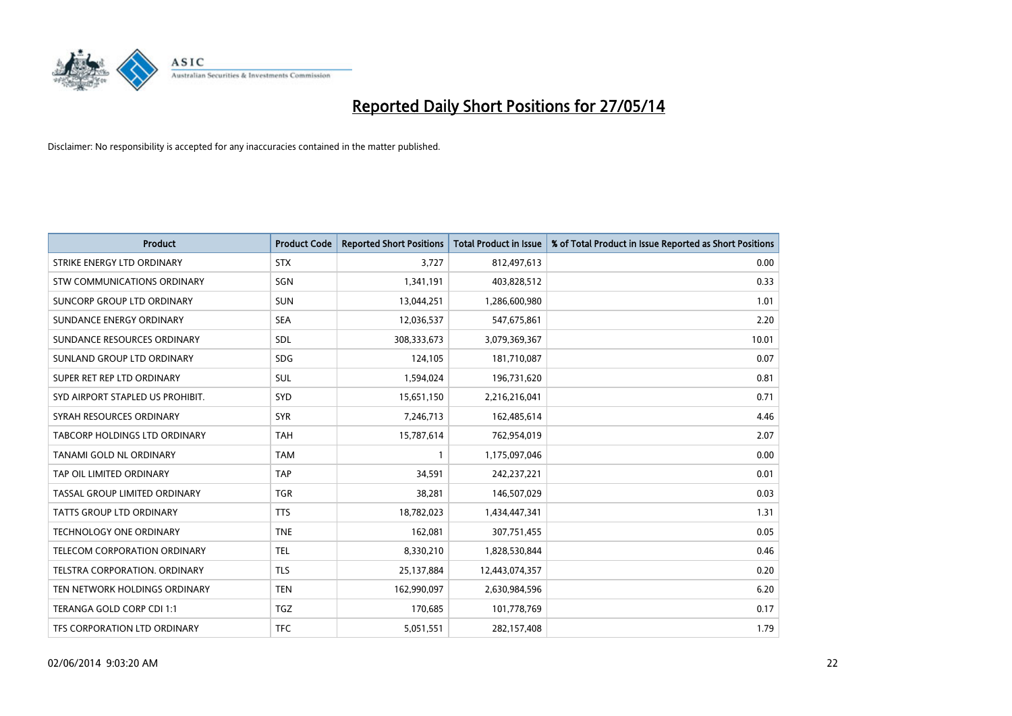

| <b>Product</b>                   | <b>Product Code</b> | <b>Reported Short Positions</b> | <b>Total Product in Issue</b> | % of Total Product in Issue Reported as Short Positions |
|----------------------------------|---------------------|---------------------------------|-------------------------------|---------------------------------------------------------|
| STRIKE ENERGY LTD ORDINARY       | <b>STX</b>          | 3,727                           | 812,497,613                   | 0.00                                                    |
| STW COMMUNICATIONS ORDINARY      | SGN                 | 1,341,191                       | 403,828,512                   | 0.33                                                    |
| SUNCORP GROUP LTD ORDINARY       | <b>SUN</b>          | 13,044,251                      | 1,286,600,980                 | 1.01                                                    |
| SUNDANCE ENERGY ORDINARY         | <b>SEA</b>          | 12,036,537                      | 547,675,861                   | 2.20                                                    |
| SUNDANCE RESOURCES ORDINARY      | SDL                 | 308,333,673                     | 3,079,369,367                 | 10.01                                                   |
| SUNLAND GROUP LTD ORDINARY       | <b>SDG</b>          | 124,105                         | 181,710,087                   | 0.07                                                    |
| SUPER RET REP LTD ORDINARY       | SUL                 | 1,594,024                       | 196,731,620                   | 0.81                                                    |
| SYD AIRPORT STAPLED US PROHIBIT. | SYD                 | 15,651,150                      | 2,216,216,041                 | 0.71                                                    |
| SYRAH RESOURCES ORDINARY         | <b>SYR</b>          | 7,246,713                       | 162,485,614                   | 4.46                                                    |
| TABCORP HOLDINGS LTD ORDINARY    | <b>TAH</b>          | 15,787,614                      | 762,954,019                   | 2.07                                                    |
| TANAMI GOLD NL ORDINARY          | <b>TAM</b>          | $\mathbf{1}$                    | 1,175,097,046                 | 0.00                                                    |
| TAP OIL LIMITED ORDINARY         | <b>TAP</b>          | 34,591                          | 242,237,221                   | 0.01                                                    |
| TASSAL GROUP LIMITED ORDINARY    | <b>TGR</b>          | 38,281                          | 146,507,029                   | 0.03                                                    |
| <b>TATTS GROUP LTD ORDINARY</b>  | <b>TTS</b>          | 18,782,023                      | 1,434,447,341                 | 1.31                                                    |
| TECHNOLOGY ONE ORDINARY          | <b>TNE</b>          | 162,081                         | 307,751,455                   | 0.05                                                    |
| TELECOM CORPORATION ORDINARY     | <b>TEL</b>          | 8,330,210                       | 1,828,530,844                 | 0.46                                                    |
| TELSTRA CORPORATION. ORDINARY    | <b>TLS</b>          | 25,137,884                      | 12,443,074,357                | 0.20                                                    |
| TEN NETWORK HOLDINGS ORDINARY    | <b>TEN</b>          | 162,990,097                     | 2,630,984,596                 | 6.20                                                    |
| TERANGA GOLD CORP CDI 1:1        | <b>TGZ</b>          | 170,685                         | 101,778,769                   | 0.17                                                    |
| TFS CORPORATION LTD ORDINARY     | <b>TFC</b>          | 5,051,551                       | 282,157,408                   | 1.79                                                    |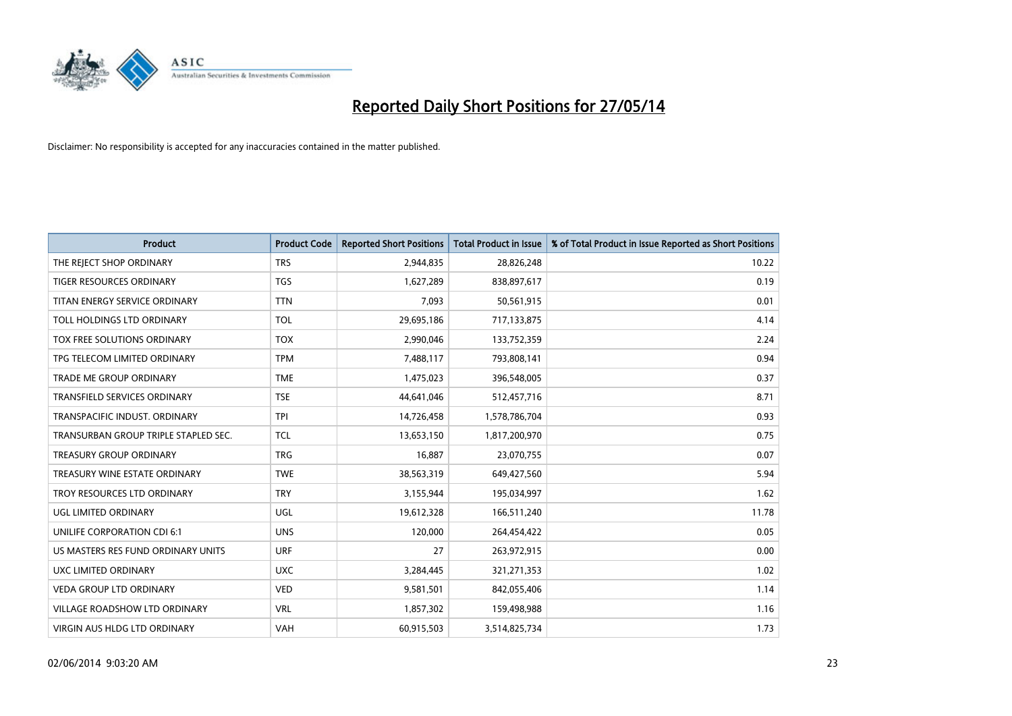

| <b>Product</b>                       | <b>Product Code</b> | <b>Reported Short Positions</b> | <b>Total Product in Issue</b> | % of Total Product in Issue Reported as Short Positions |
|--------------------------------------|---------------------|---------------------------------|-------------------------------|---------------------------------------------------------|
| THE REJECT SHOP ORDINARY             | <b>TRS</b>          | 2,944,835                       | 28,826,248                    | 10.22                                                   |
| TIGER RESOURCES ORDINARY             | <b>TGS</b>          | 1,627,289                       | 838,897,617                   | 0.19                                                    |
| TITAN ENERGY SERVICE ORDINARY        | <b>TTN</b>          | 7,093                           | 50,561,915                    | 0.01                                                    |
| TOLL HOLDINGS LTD ORDINARY           | <b>TOL</b>          | 29,695,186                      | 717,133,875                   | 4.14                                                    |
| TOX FREE SOLUTIONS ORDINARY          | <b>TOX</b>          | 2,990,046                       | 133,752,359                   | 2.24                                                    |
| TPG TELECOM LIMITED ORDINARY         | <b>TPM</b>          | 7,488,117                       | 793,808,141                   | 0.94                                                    |
| TRADE ME GROUP ORDINARY              | <b>TME</b>          | 1,475,023                       | 396,548,005                   | 0.37                                                    |
| TRANSFIELD SERVICES ORDINARY         | <b>TSE</b>          | 44,641,046                      | 512,457,716                   | 8.71                                                    |
| TRANSPACIFIC INDUST, ORDINARY        | <b>TPI</b>          | 14,726,458                      | 1,578,786,704                 | 0.93                                                    |
| TRANSURBAN GROUP TRIPLE STAPLED SEC. | <b>TCL</b>          | 13,653,150                      | 1,817,200,970                 | 0.75                                                    |
| TREASURY GROUP ORDINARY              | <b>TRG</b>          | 16,887                          | 23,070,755                    | 0.07                                                    |
| TREASURY WINE ESTATE ORDINARY        | <b>TWE</b>          | 38,563,319                      | 649,427,560                   | 5.94                                                    |
| TROY RESOURCES LTD ORDINARY          | <b>TRY</b>          | 3,155,944                       | 195,034,997                   | 1.62                                                    |
| UGL LIMITED ORDINARY                 | UGL                 | 19,612,328                      | 166,511,240                   | 11.78                                                   |
| UNILIFE CORPORATION CDI 6:1          | <b>UNS</b>          | 120,000                         | 264,454,422                   | 0.05                                                    |
| US MASTERS RES FUND ORDINARY UNITS   | <b>URF</b>          | 27                              | 263,972,915                   | 0.00                                                    |
| UXC LIMITED ORDINARY                 | <b>UXC</b>          | 3,284,445                       | 321,271,353                   | 1.02                                                    |
| <b>VEDA GROUP LTD ORDINARY</b>       | <b>VED</b>          | 9,581,501                       | 842,055,406                   | 1.14                                                    |
| <b>VILLAGE ROADSHOW LTD ORDINARY</b> | <b>VRL</b>          | 1,857,302                       | 159,498,988                   | 1.16                                                    |
| VIRGIN AUS HLDG LTD ORDINARY         | <b>VAH</b>          | 60,915,503                      | 3,514,825,734                 | 1.73                                                    |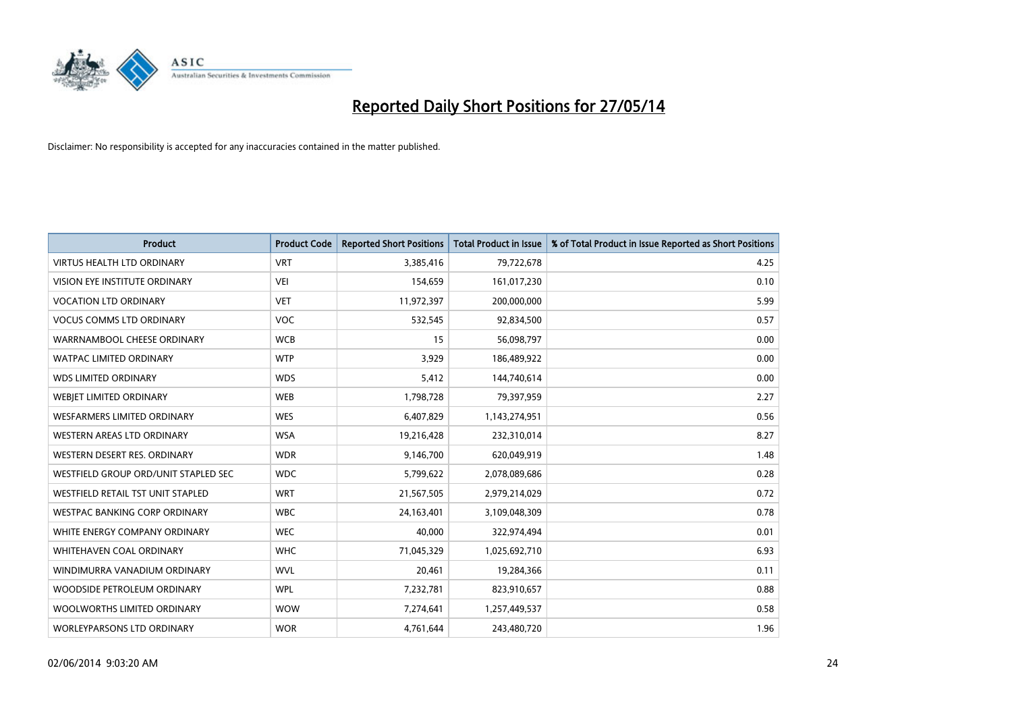

| <b>Product</b>                       | <b>Product Code</b> | <b>Reported Short Positions</b> | <b>Total Product in Issue</b> | % of Total Product in Issue Reported as Short Positions |
|--------------------------------------|---------------------|---------------------------------|-------------------------------|---------------------------------------------------------|
| <b>VIRTUS HEALTH LTD ORDINARY</b>    | <b>VRT</b>          | 3,385,416                       | 79,722,678                    | 4.25                                                    |
| VISION EYE INSTITUTE ORDINARY        | <b>VEI</b>          | 154,659                         | 161,017,230                   | 0.10                                                    |
| <b>VOCATION LTD ORDINARY</b>         | <b>VET</b>          | 11,972,397                      | 200,000,000                   | 5.99                                                    |
| <b>VOCUS COMMS LTD ORDINARY</b>      | <b>VOC</b>          | 532,545                         | 92,834,500                    | 0.57                                                    |
| WARRNAMBOOL CHEESE ORDINARY          | <b>WCB</b>          | 15                              | 56,098,797                    | 0.00                                                    |
| <b>WATPAC LIMITED ORDINARY</b>       | <b>WTP</b>          | 3,929                           | 186,489,922                   | 0.00                                                    |
| <b>WDS LIMITED ORDINARY</b>          | <b>WDS</b>          | 5,412                           | 144,740,614                   | 0.00                                                    |
| WEBJET LIMITED ORDINARY              | <b>WEB</b>          | 1,798,728                       | 79,397,959                    | 2.27                                                    |
| <b>WESFARMERS LIMITED ORDINARY</b>   | <b>WES</b>          | 6,407,829                       | 1,143,274,951                 | 0.56                                                    |
| WESTERN AREAS LTD ORDINARY           | <b>WSA</b>          | 19,216,428                      | 232,310,014                   | 8.27                                                    |
| WESTERN DESERT RES. ORDINARY         | <b>WDR</b>          | 9,146,700                       | 620,049,919                   | 1.48                                                    |
| WESTFIELD GROUP ORD/UNIT STAPLED SEC | <b>WDC</b>          | 5,799,622                       | 2,078,089,686                 | 0.28                                                    |
| WESTFIELD RETAIL TST UNIT STAPLED    | <b>WRT</b>          | 21,567,505                      | 2,979,214,029                 | 0.72                                                    |
| <b>WESTPAC BANKING CORP ORDINARY</b> | <b>WBC</b>          | 24,163,401                      | 3,109,048,309                 | 0.78                                                    |
| WHITE ENERGY COMPANY ORDINARY        | <b>WEC</b>          | 40,000                          | 322,974,494                   | 0.01                                                    |
| <b>WHITEHAVEN COAL ORDINARY</b>      | <b>WHC</b>          | 71,045,329                      | 1,025,692,710                 | 6.93                                                    |
| WINDIMURRA VANADIUM ORDINARY         | <b>WVL</b>          | 20,461                          | 19,284,366                    | 0.11                                                    |
| WOODSIDE PETROLEUM ORDINARY          | <b>WPL</b>          | 7,232,781                       | 823,910,657                   | 0.88                                                    |
| WOOLWORTHS LIMITED ORDINARY          | <b>WOW</b>          | 7,274,641                       | 1,257,449,537                 | 0.58                                                    |
| WORLEYPARSONS LTD ORDINARY           | <b>WOR</b>          | 4,761,644                       | 243,480,720                   | 1.96                                                    |